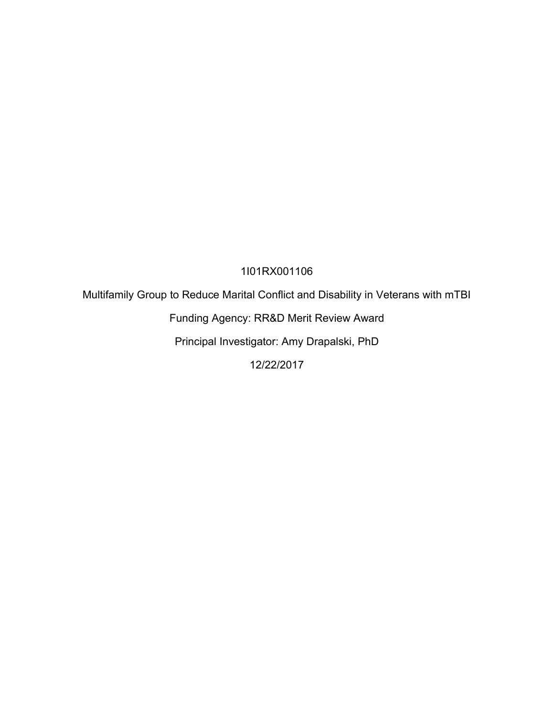## 1I01RX001106

Multifamily Group to Reduce Marital Conflict and Disability in Veterans with mTBI

Funding Agency: RR&D Merit Review Award

Principal Investigator: Amy Drapalski, PhD

12/22/2017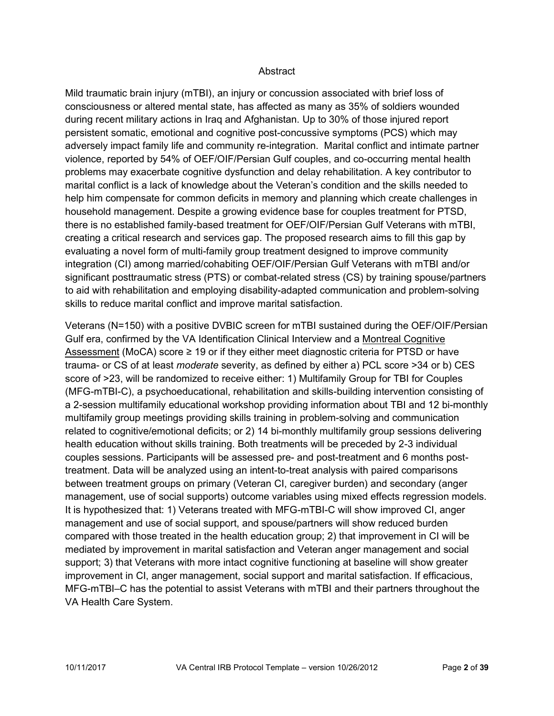#### **Abstract**

Mild traumatic brain injury (mTBI), an injury or concussion associated with brief loss of consciousness or altered mental state, has affected as many as 35% of soldiers wounded during recent military actions in Iraq and Afghanistan. Up to 30% of those injured report persistent somatic, emotional and cognitive post-concussive symptoms (PCS) which may adversely impact family life and community re-integration. Marital conflict and intimate partner violence, reported by 54% of OEF/OIF/Persian Gulf couples, and co-occurring mental health problems may exacerbate cognitive dysfunction and delay rehabilitation. A key contributor to marital conflict is a lack of knowledge about the Veteran's condition and the skills needed to help him compensate for common deficits in memory and planning which create challenges in household management. Despite a growing evidence base for couples treatment for PTSD, there is no established family-based treatment for OEF/OIF/Persian Gulf Veterans with mTBI, creating a critical research and services gap. The proposed research aims to fill this gap by evaluating a novel form of multi-family group treatment designed to improve community integration (CI) among married/cohabiting OEF/OIF/Persian Gulf Veterans with mTBI and/or significant posttraumatic stress (PTS) or combat-related stress (CS) by training spouse/partners to aid with rehabilitation and employing disability-adapted communication and problem-solving skills to reduce marital conflict and improve marital satisfaction.

Veterans (N=150) with a positive DVBIC screen for mTBI sustained during the OEF/OIF/Persian Gulf era, confirmed by the VA Identification Clinical Interview and a Montreal Cognitive Assessment (MoCA) score  $\geq 19$  or if they either meet diagnostic criteria for PTSD or have trauma- or CS of at least *moderate* severity, as defined by either a) PCL score >34 or b) CES score of >23, will be randomized to receive either: 1) Multifamily Group for TBI for Couples (MFG-mTBI-C), a psychoeducational, rehabilitation and skills-building intervention consisting of a 2-session multifamily educational workshop providing information about TBI and 12 bi-monthly multifamily group meetings providing skills training in problem-solving and communication related to cognitive/emotional deficits; or 2) 14 bi-monthly multifamily group sessions delivering health education without skills training. Both treatments will be preceded by 2-3 individual couples sessions. Participants will be assessed pre- and post-treatment and 6 months posttreatment. Data will be analyzed using an intent-to-treat analysis with paired comparisons between treatment groups on primary (Veteran CI, caregiver burden) and secondary (anger management, use of social supports) outcome variables using mixed effects regression models. It is hypothesized that: 1) Veterans treated with MFG-mTBI-C will show improved CI, anger management and use of social support, and spouse/partners will show reduced burden compared with those treated in the health education group; 2) that improvement in CI will be mediated by improvement in marital satisfaction and Veteran anger management and social support; 3) that Veterans with more intact cognitive functioning at baseline will show greater improvement in CI, anger management, social support and marital satisfaction. If efficacious, MFG-mTBI–C has the potential to assist Veterans with mTBI and their partners throughout the VA Health Care System.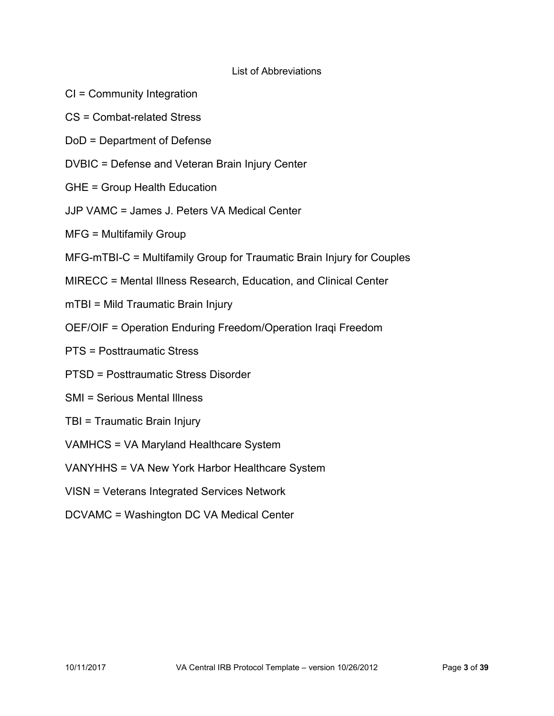### List of Abbreviations

- CI = Community Integration
- CS = Combat-related Stress
- DoD = Department of Defense
- DVBIC = Defense and Veteran Brain Injury Center
- GHE = Group Health Education
- JJP VAMC = James J. Peters VA Medical Center
- MFG = Multifamily Group
- MFG-mTBI-C = Multifamily Group for Traumatic Brain Injury for Couples
- MIRECC = Mental Illness Research, Education, and Clinical Center
- mTBI = Mild Traumatic Brain Injury
- OEF/OIF = Operation Enduring Freedom/Operation Iraqi Freedom
- PTS = Posttraumatic Stress
- PTSD = Posttraumatic Stress Disorder
- SMI = Serious Mental Illness
- TBI = Traumatic Brain Injury
- VAMHCS = VA Maryland Healthcare System
- VANYHHS = VA New York Harbor Healthcare System
- VISN = Veterans Integrated Services Network
- DCVAMC = Washington DC VA Medical Center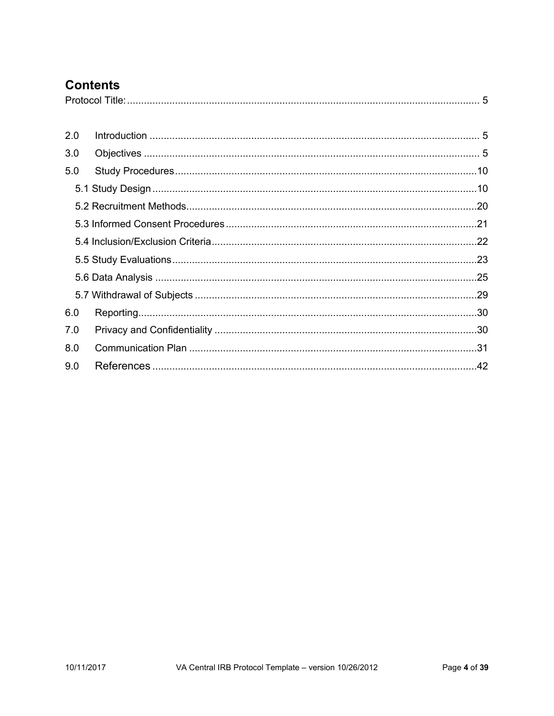# **Contents**

<span id="page-3-0"></span>

| 2.0 |  |
|-----|--|
| 3.0 |  |
| 5.0 |  |
|     |  |
|     |  |
|     |  |
|     |  |
|     |  |
|     |  |
|     |  |
| 6.0 |  |
| 7.0 |  |
| 8.0 |  |
| 9.0 |  |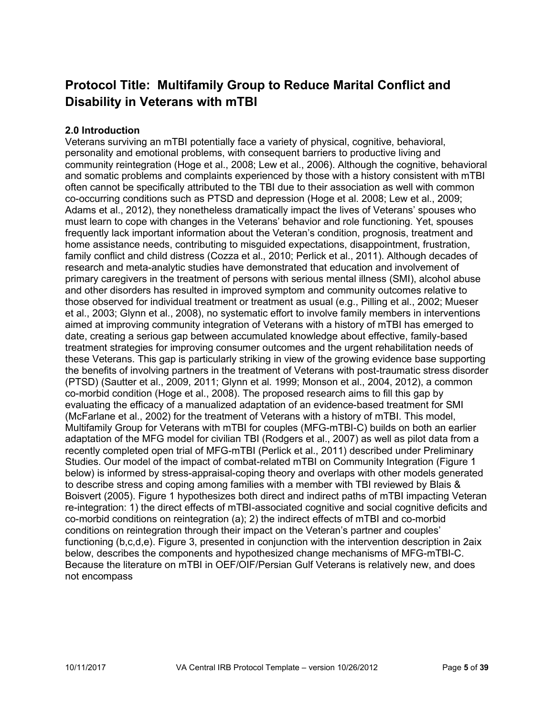# **Protocol Title: Multifamily Group to Reduce Marital Conflict and Disability in Veterans with mTBI**

### <span id="page-4-0"></span>**2.0 Introduction**

<span id="page-4-1"></span>Veterans surviving an mTBI potentially face a variety of physical, cognitive, behavioral, personality and emotional problems, with consequent barriers to productive living and community reintegration (Hoge et al., 2008; Lew et al., 2006). Although the cognitive, behavioral and somatic problems and complaints experienced by those with a history consistent with mTBI often cannot be specifically attributed to the TBI due to their association as well with common co-occurring conditions such as PTSD and depression (Hoge et al. 2008; Lew et al., 2009; Adams et al., 2012), they nonetheless dramatically impact the lives of Veterans' spouses who must learn to cope with changes in the Veterans' behavior and role functioning. Yet, spouses frequently lack important information about the Veteran's condition, prognosis, treatment and home assistance needs, contributing to misguided expectations, disappointment, frustration, family conflict and child distress (Cozza et al., 2010; Perlick et al., 2011). Although decades of research and meta-analytic studies have demonstrated that education and involvement of primary caregivers in the treatment of persons with serious mental illness (SMI), alcohol abuse and other disorders has resulted in improved symptom and community outcomes relative to those observed for individual treatment or treatment as usual (e.g., Pilling et al., 2002; Mueser et al., 2003; Glynn et al., 2008), no systematic effort to involve family members in interventions aimed at improving community integration of Veterans with a history of mTBI has emerged to date, creating a serious gap between accumulated knowledge about effective, family-based treatment strategies for improving consumer outcomes and the urgent rehabilitation needs of these Veterans. This gap is particularly striking in view of the growing evidence base supporting the benefits of involving partners in the treatment of Veterans with post-traumatic stress disorder (PTSD) (Sautter et al., 2009, 2011; Glynn et al. 1999; Monson et al., 2004, 2012), a common co-morbid condition (Hoge et al., 2008). The proposed research aims to fill this gap by evaluating the efficacy of a manualized adaptation of an evidence-based treatment for SMI (McFarlane et al., 2002) for the treatment of Veterans with a history of mTBI. This model, Multifamily Group for Veterans with mTBI for couples (MFG-mTBI-C) builds on both an earlier adaptation of the MFG model for civilian TBI (Rodgers et al., 2007) as well as pilot data from a recently completed open trial of MFG-mTBI (Perlick et al., 2011) described under Preliminary Studies. Our model of the impact of combat-related mTBI on Community Integration (Figure 1 below) is informed by stress-appraisal-coping theory and overlaps with other models generated to describe stress and coping among families with a member with TBI reviewed by Blais & Boisvert (2005). Figure 1 hypothesizes both direct and indirect paths of mTBI impacting Veteran re-integration: 1) the direct effects of mTBI-associated cognitive and social cognitive deficits and co-morbid conditions on reintegration (a); 2) the indirect effects of mTBI and co-morbid conditions on reintegration through their impact on the Veteran's partner and couples' functioning (b,c,d,e). Figure 3, presented in conjunction with the intervention description in 2aix below, describes the components and hypothesized change mechanisms of MFG-mTBI-C. Because the literature on mTBI in OEF/OIF/Persian Gulf Veterans is relatively new, and does not encompass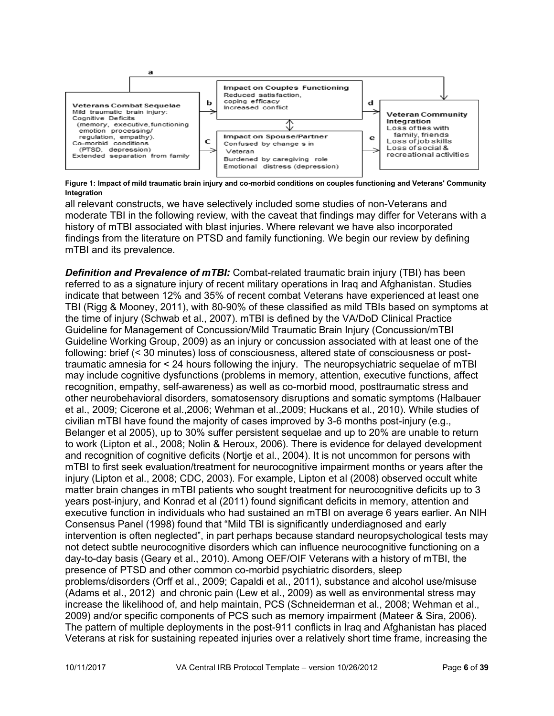

**Figure 1: Impact of mild traumatic brain injury and co-morbid conditions on couples functioning and Veterans' Community Integration**

all relevant constructs, we have selectively included some studies of non-Veterans and moderate TBI in the following review, with the caveat that findings may differ for Veterans with a history of mTBI associated with blast injuries. Where relevant we have also incorporated findings from the literature on PTSD and family functioning. We begin our review by defining mTBI and its prevalence.

**Definition and Prevalence of mTBI:** Combat-related traumatic brain injury (TBI) has been referred to as a signature injury of recent military operations in Iraq and Afghanistan. Studies indicate that between 12% and 35% of recent combat Veterans have experienced at least one TBI (Rigg & Mooney, 2011), with 80-90% of these classified as mild TBIs based on symptoms at the time of injury (Schwab et al., 2007). mTBI is defined by the VA/DoD Clinical Practice Guideline for Management of Concussion/Mild Traumatic Brain Injury (Concussion/mTBI Guideline Working Group, 2009) as an injury or concussion associated with at least one of the following: brief (< 30 minutes) loss of consciousness, altered state of consciousness or posttraumatic amnesia for < 24 hours following the injury. The neuropsychiatric sequelae of mTBI may include cognitive dysfunctions (problems in memory, attention, executive functions, affect recognition, empathy, self-awareness) as well as co-morbid mood, posttraumatic stress and other neurobehavioral disorders, somatosensory disruptions and somatic symptoms (Halbauer et al., 2009; Cicerone et al.,2006; Wehman et al.,2009; Huckans et al., 2010). While studies of civilian mTBI have found the majority of cases improved by 3-6 months post-injury (e.g., Belanger et al 2005), up to 30% suffer persistent sequelae and up to 20% are unable to return to work (Lipton et al., 2008; Nolin & Heroux, 2006). There is evidence for delayed development and recognition of cognitive deficits (Nortje et al., 2004). It is not uncommon for persons with mTBI to first seek evaluation/treatment for neurocognitive impairment months or years after the injury (Lipton et al., 2008; CDC, 2003). For example, Lipton et al (2008) observed occult white matter brain changes in mTBI patients who sought treatment for neurocognitive deficits up to 3 years post-injury, and Konrad et al (2011) found significant deficits in memory, attention and executive function in individuals who had sustained an mTBI on average 6 years earlier. An NIH Consensus Panel (1998) found that "Mild TBI is significantly underdiagnosed and early intervention is often neglected", in part perhaps because standard neuropsychological tests may not detect subtle neurocognitive disorders which can influence neurocognitive functioning on a day-to-day basis (Geary et al., 2010). Among OEF/OIF Veterans with a history of mTBI, the presence of PTSD and other common co-morbid psychiatric disorders, sleep problems/disorders (Orff et al., 2009; Capaldi et al., 2011), substance and alcohol use/misuse (Adams et al., 2012) and chronic pain (Lew et al., 2009) as well as environmental stress may increase the likelihood of, and help maintain, PCS (Schneiderman et al., 2008; Wehman et al., 2009) and/or specific components of PCS such as memory impairment (Mateer & Sira, 2006). The pattern of multiple deployments in the post-911 conflicts in Iraq and Afghanistan has placed Veterans at risk for sustaining repeated injuries over a relatively short time frame, increasing the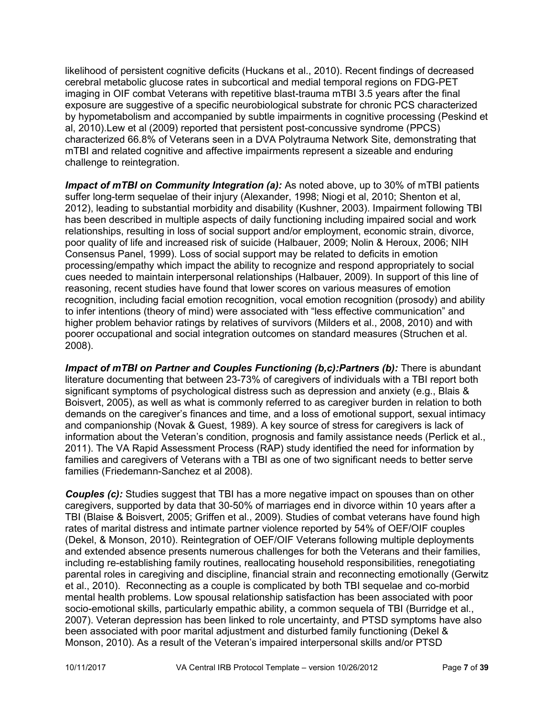likelihood of persistent cognitive deficits (Huckans et al., 2010). Recent findings of decreased cerebral metabolic glucose rates in subcortical and medial temporal regions on FDG-PET imaging in OIF combat Veterans with repetitive blast-trauma mTBI 3.5 years after the final exposure are suggestive of a specific neurobiological substrate for chronic PCS characterized by hypometabolism and accompanied by subtle impairments in cognitive processing (Peskind et al, 2010).Lew et al (2009) reported that persistent post-concussive syndrome (PPCS) characterized 66.8% of Veterans seen in a DVA Polytrauma Network Site, demonstrating that mTBI and related cognitive and affective impairments represent a sizeable and enduring challenge to reintegration.

*Impact of mTBI on Community Integration (a):* As noted above, up to 30% of mTBI patients suffer long-term sequelae of their injury (Alexander, 1998; Niogi et al, 2010; Shenton et al, 2012), leading to substantial morbidity and disability (Kushner, 2003). Impairment following TBI has been described in multiple aspects of daily functioning including impaired social and work relationships, resulting in loss of social support and/or employment, economic strain, divorce, poor quality of life and increased risk of suicide (Halbauer, 2009; Nolin & Heroux, 2006; NIH Consensus Panel, 1999). Loss of social support may be related to deficits in emotion processing/empathy which impact the ability to recognize and respond appropriately to social cues needed to maintain interpersonal relationships (Halbauer, 2009). In support of this line of reasoning, recent studies have found that lower scores on various measures of emotion recognition, including facial emotion recognition, vocal emotion recognition (prosody) and ability to infer intentions (theory of mind) were associated with "less effective communication" and higher problem behavior ratings by relatives of survivors (Milders et al., 2008, 2010) and with poorer occupational and social integration outcomes on standard measures (Struchen et al. 2008).

*Impact of mTBI on Partner and Couples Functioning (b,c):Partners (b):* There is abundant literature documenting that between 23-73% of caregivers of individuals with a TBI report both significant symptoms of psychological distress such as depression and anxiety (e.g., Blais & Boisvert, 2005), as well as what is commonly referred to as caregiver burden in relation to both demands on the caregiver's finances and time, and a loss of emotional support, sexual intimacy and companionship (Novak & Guest, 1989). A key source of stress for caregivers is lack of information about the Veteran's condition, prognosis and family assistance needs (Perlick et al., 2011). The VA Rapid Assessment Process (RAP) study identified the need for information by families and caregivers of Veterans with a TBI as one of two significant needs to better serve families (Friedemann-Sanchez et al 2008).

**Couples (c):** Studies suggest that TBI has a more negative impact on spouses than on other caregivers, supported by data that 30-50% of marriages end in divorce within 10 years after a TBI (Blaise & Boisvert, 2005; Griffen et al., 2009). Studies of combat veterans have found high rates of marital distress and intimate partner violence reported by 54% of OEF/OIF couples (Dekel, & Monson, 2010). Reintegration of OEF/OIF Veterans following multiple deployments and extended absence presents numerous challenges for both the Veterans and their families, including re-establishing family routines, reallocating household responsibilities, renegotiating parental roles in caregiving and discipline, financial strain and reconnecting emotionally (Gerwitz et al., 2010). Reconnecting as a couple is complicated by both TBI sequelae and co-morbid mental health problems. Low spousal relationship satisfaction has been associated with poor socio-emotional skills, particularly empathic ability, a common sequela of TBI (Burridge et al., 2007). Veteran depression has been linked to role uncertainty, and PTSD symptoms have also been associated with poor marital adjustment and disturbed family functioning (Dekel & Monson, 2010). As a result of the Veteran's impaired interpersonal skills and/or PTSD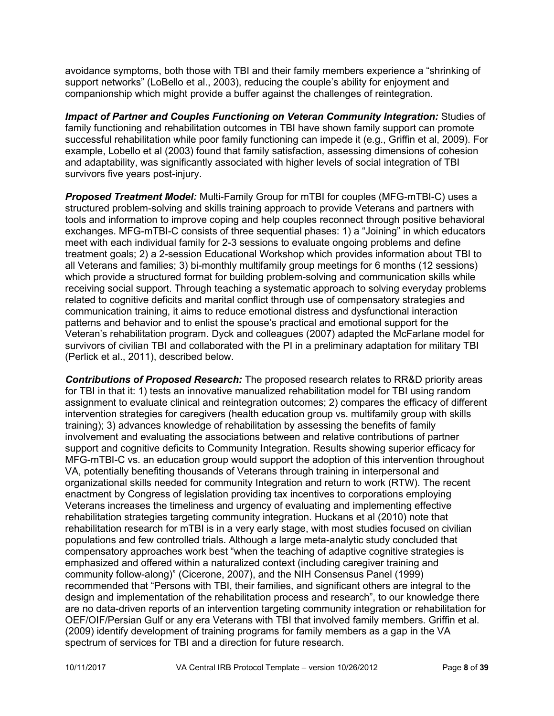avoidance symptoms, both those with TBI and their family members experience a "shrinking of support networks" (LoBello et al., 2003), reducing the couple's ability for enjoyment and companionship which might provide a buffer against the challenges of reintegration.

*Impact of Partner and Couples Functioning on Veteran Community Integration:* Studies of family functioning and rehabilitation outcomes in TBI have shown family support can promote successful rehabilitation while poor family functioning can impede it (e.g., Griffin et al, 2009). For example, Lobello et al (2003) found that family satisfaction, assessing dimensions of cohesion and adaptability, was significantly associated with higher levels of social integration of TBI survivors five years post-injury.

*Proposed Treatment Model:* Multi-Family Group for mTBI for couples (MFG-mTBI-C) uses a structured problem-solving and skills training approach to provide Veterans and partners with tools and information to improve coping and help couples reconnect through positive behavioral exchanges. MFG-mTBI-C consists of three sequential phases: 1) a "Joining" in which educators meet with each individual family for 2-3 sessions to evaluate ongoing problems and define treatment goals; 2) a 2-session Educational Workshop which provides information about TBI to all Veterans and families; 3) bi-monthly multifamily group meetings for 6 months (12 sessions) which provide a structured format for building problem-solving and communication skills while receiving social support. Through teaching a systematic approach to solving everyday problems related to cognitive deficits and marital conflict through use of compensatory strategies and communication training, it aims to reduce emotional distress and dysfunctional interaction patterns and behavior and to enlist the spouse's practical and emotional support for the Veteran's rehabilitation program. Dyck and colleagues (2007) adapted the McFarlane model for survivors of civilian TBI and collaborated with the PI in a preliminary adaptation for military TBI (Perlick et al., 2011), described below.

*Contributions of Proposed Research:* The proposed research relates to RR&D priority areas for TBI in that it: 1) tests an innovative manualized rehabilitation model for TBI using random assignment to evaluate clinical and reintegration outcomes; 2) compares the efficacy of different intervention strategies for caregivers (health education group vs. multifamily group with skills training); 3) advances knowledge of rehabilitation by assessing the benefits of family involvement and evaluating the associations between and relative contributions of partner support and cognitive deficits to Community Integration. Results showing superior efficacy for MFG-mTBI-C vs. an education group would support the adoption of this intervention throughout VA, potentially benefiting thousands of Veterans through training in interpersonal and organizational skills needed for community Integration and return to work (RTW). The recent enactment by Congress of legislation providing tax incentives to corporations employing Veterans increases the timeliness and urgency of evaluating and implementing effective rehabilitation strategies targeting community integration. Huckans et al (2010) note that rehabilitation research for mTBI is in a very early stage, with most studies focused on civilian populations and few controlled trials. Although a large meta-analytic study concluded that compensatory approaches work best "when the teaching of adaptive cognitive strategies is emphasized and offered within a naturalized context (including caregiver training and community follow-along)" (Cicerone, 2007), and the NIH Consensus Panel (1999) recommended that "Persons with TBI, their families, and significant others are integral to the design and implementation of the rehabilitation process and research", to our knowledge there are no data-driven reports of an intervention targeting community integration or rehabilitation for OEF/OIF/Persian Gulf or any era Veterans with TBI that involved family members. Griffin et al. (2009) identify development of training programs for family members as a gap in the VA spectrum of services for TBI and a direction for future research.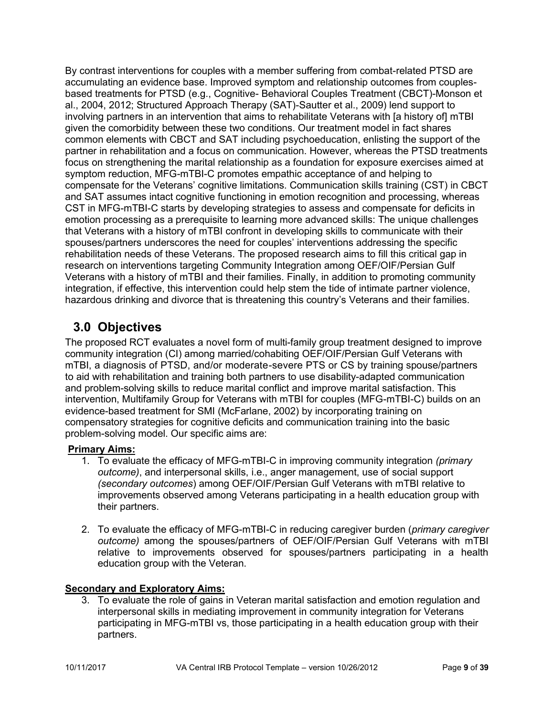By contrast interventions for couples with a member suffering from combat-related PTSD are accumulating an evidence base. Improved symptom and relationship outcomes from couplesbased treatments for PTSD (e.g., Cognitive- Behavioral Couples Treatment (CBCT)-Monson et al., 2004, 2012; Structured Approach Therapy (SAT)-Sautter et al., 2009) lend support to involving partners in an intervention that aims to rehabilitate Veterans with [a history of] mTBI given the comorbidity between these two conditions. Our treatment model in fact shares common elements with CBCT and SAT including psychoeducation, enlisting the support of the partner in rehabilitation and a focus on communication. However, whereas the PTSD treatments focus on strengthening the marital relationship as a foundation for exposure exercises aimed at symptom reduction, MFG-mTBI-C promotes empathic acceptance of and helping to compensate for the Veterans' cognitive limitations. Communication skills training (CST) in CBCT and SAT assumes intact cognitive functioning in emotion recognition and processing, whereas CST in MFG-mTBI-C starts by developing strategies to assess and compensate for deficits in emotion processing as a prerequisite to learning more advanced skills: The unique challenges that Veterans with a history of mTBI confront in developing skills to communicate with their spouses/partners underscores the need for couples' interventions addressing the specific rehabilitation needs of these Veterans. The proposed research aims to fill this critical gap in research on interventions targeting Community Integration among OEF/OIF/Persian Gulf Veterans with a history of mTBI and their families. Finally, in addition to promoting community integration, if effective, this intervention could help stem the tide of intimate partner violence, hazardous drinking and divorce that is threatening this country's Veterans and their families.

# **3.0 Objectives**

The proposed RCT evaluates a novel form of multi-family group treatment designed to improve community integration (CI) among married/cohabiting OEF/OIF/Persian Gulf Veterans with mTBI, a diagnosis of PTSD, and/or moderate-severe PTS or CS by training spouse/partners to aid with rehabilitation and training both partners to use disability-adapted communication and problem-solving skills to reduce marital conflict and improve marital satisfaction. This intervention, Multifamily Group for Veterans with mTBI for couples (MFG-mTBI-C) builds on an evidence-based treatment for SMI (McFarlane, 2002) by incorporating training on compensatory strategies for cognitive deficits and communication training into the basic problem-solving model. Our specific aims are:

## **Primary Aims:**

- 1. To evaluate the efficacy of MFG-mTBI-C in improving community integration *(primary outcome)*, and interpersonal skills, i.e., anger management, use of social support *(secondary outcomes*) among OEF/OIF/Persian Gulf Veterans with mTBI relative to improvements observed among Veterans participating in a health education group with their partners.
- 2. To evaluate the efficacy of MFG-mTBI-C in reducing caregiver burden (*primary caregiver outcome)* among the spouses/partners of OEF/OIF/Persian Gulf Veterans with mTBI relative to improvements observed for spouses/partners participating in a health education group with the Veteran.

## **Secondary and Exploratory Aims:**

3. To evaluate the role of gains in Veteran marital satisfaction and emotion regulation and interpersonal skills in mediating improvement in community integration for Veterans participating in MFG-mTBI vs, those participating in a health education group with their partners.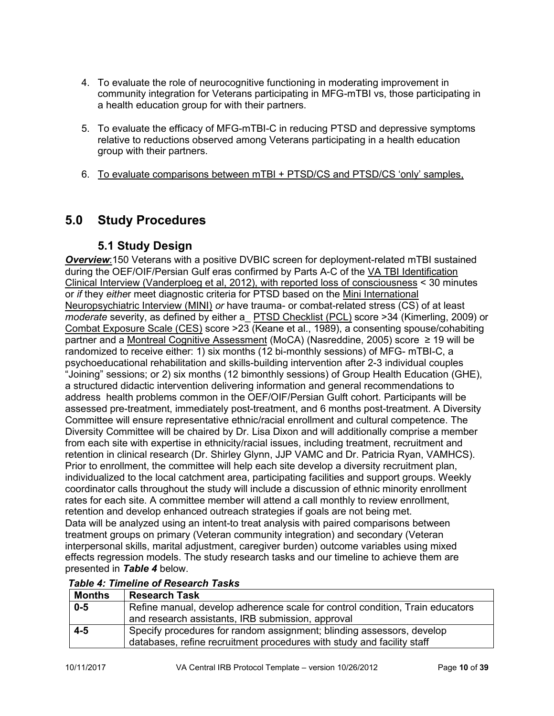- 4. To evaluate the role of neurocognitive functioning in moderating improvement in community integration for Veterans participating in MFG-mTBI vs, those participating in a health education group for with their partners.
- 5. To evaluate the efficacy of MFG-mTBI-C in reducing PTSD and depressive symptoms relative to reductions observed among Veterans participating in a health education group with their partners.
- 6. To evaluate comparisons between mTBI + PTSD/CS and PTSD/CS 'only' samples,

# <span id="page-9-1"></span><span id="page-9-0"></span>**5.0 Study Procedures**

## **5.1 Study Design**

*Overview*:150 Veterans with a positive DVBIC screen for deployment-related mTBI sustained during the OEF/OIF/Persian Gulf eras confirmed by Parts A-C of the VA TBI Identification Clinical Interview (Vanderploeg et al, 2012), with reported loss of consciousness < 30 minutes or *if* they *eithe*r meet diagnostic criteria for PTSD based on the Mini International Neuropsychiatric Interview (MINI) *or* have trauma- or combat-related stress (CS) of at least *moderate* severity, as defined by either a\_ PTSD Checklist (PCL) score >34 (Kimerling, 2009) or Combat Exposure Scale (CES) score >23 (Keane et al., 1989), a consenting spouse/cohabiting partner and a Montreal Cognitive Assessment (MoCA) (Nasreddine, 2005) score ≥ 19 will be randomized to receive either: 1) six months (12 bi-monthly sessions) of MFG- mTBI-C, a psychoeducational rehabilitation and skills-building intervention after 2-3 individual couples "Joining" sessions; or 2) six months (12 bimonthly sessions) of Group Health Education (GHE), a structured didactic intervention delivering information and general recommendations to address health problems common in the OEF/OIF/Persian Gulft cohort. Participants will be assessed pre-treatment, immediately post-treatment, and 6 months post-treatment. A Diversity Committee will ensure representative ethnic/racial enrollment and cultural competence. The Diversity Committee will be chaired by Dr. Lisa Dixon and will additionally comprise a member from each site with expertise in ethnicity/racial issues, including treatment, recruitment and retention in clinical research (Dr. Shirley Glynn, JJP VAMC and Dr. Patricia Ryan, VAMHCS). Prior to enrollment, the committee will help each site develop a diversity recruitment plan, individualized to the local catchment area, participating facilities and support groups. Weekly coordinator calls throughout the study will include a discussion of ethnic minority enrollment rates for each site. A committee member will attend a call monthly to review enrollment, retention and develop enhanced outreach strategies if goals are not being met. Data will be analyzed using an intent-to treat analysis with paired comparisons between treatment groups on primary (Veteran community integration) and secondary (Veteran interpersonal skills, marital adjustment, caregiver burden) outcome variables using mixed effects regression models. The study research tasks and our timeline to achieve them are presented in *Table 4* below.

## *Table 4: Timeline of Research Tasks*

| Months | <b>Research Task</b>                                                          |
|--------|-------------------------------------------------------------------------------|
| $0-5$  | Refine manual, develop adherence scale for control condition, Train educators |
|        | and research assistants, IRB submission, approval                             |
| $4-5$  | Specify procedures for random assignment; blinding assessors, develop         |
|        | databases, refine recruitment procedures with study and facility staff        |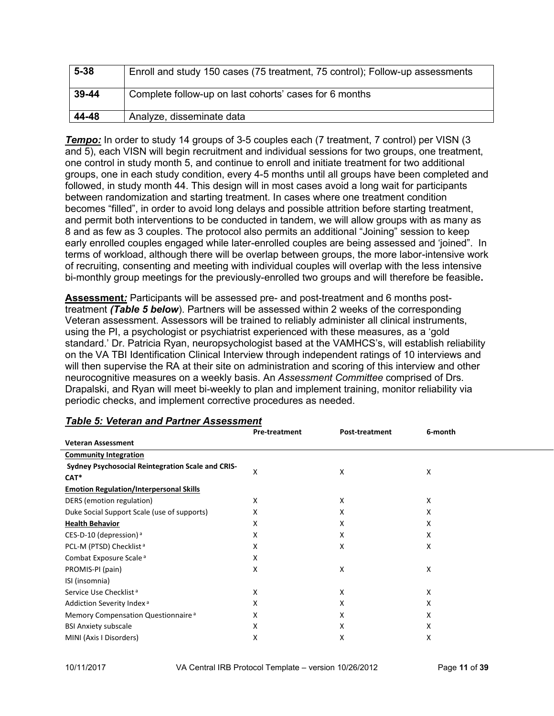| $5 - 38$ | Enroll and study 150 cases (75 treatment, 75 control); Follow-up assessments |
|----------|------------------------------------------------------------------------------|
| 39-44    | Complete follow-up on last cohorts' cases for 6 months                       |
| 44-48    | Analyze, disseminate data                                                    |

**Tempo:** In order to study 14 groups of 3-5 couples each (7 treatment, 7 control) per VISN (3 and 5), each VISN will begin recruitment and individual sessions for two groups, one treatment, one control in study month 5, and continue to enroll and initiate treatment for two additional groups, one in each study condition, every 4-5 months until all groups have been completed and followed, in study month 44. This design will in most cases avoid a long wait for participants between randomization and starting treatment. In cases where one treatment condition becomes "filled", in order to avoid long delays and possible attrition before starting treatment, and permit both interventions to be conducted in tandem, we will allow groups with as many as 8 and as few as 3 couples. The protocol also permits an additional "Joining" session to keep early enrolled couples engaged while later-enrolled couples are being assessed and 'joined". In terms of workload, although there will be overlap between groups, the more labor-intensive work of recruiting, consenting and meeting with individual couples will overlap with the less intensive bi-monthly group meetings for the previously-enrolled two groups and will therefore be feasible**.**

**Assessment***:* Participants will be assessed pre- and post-treatment and 6 months posttreatment *(Table 5 below*). Partners will be assessed within 2 weeks of the corresponding Veteran assessment. Assessors will be trained to reliably administer all clinical instruments, using the PI, a psychologist or psychiatrist experienced with these measures, as a 'gold standard.' Dr. Patricia Ryan, neuropsychologist based at the VAMHCS's, will establish reliability on the VA TBI Identification Clinical Interview through independent ratings of 10 interviews and will then supervise the RA at their site on administration and scoring of this interview and other neurocognitive measures on a weekly basis. An *Assessment Committee* comprised of Drs. Drapalski, and Ryan will meet bi-weekly to plan and implement training, monitor reliability via periodic checks, and implement corrective procedures as needed.

|                                                           | <b>Pre-treatment</b> | <b>Post-treatment</b> | 6-month |
|-----------------------------------------------------------|----------------------|-----------------------|---------|
| <b>Veteran Assessment</b>                                 |                      |                       |         |
| <b>Community Integration</b>                              |                      |                       |         |
| Sydney Psychosocial Reintegration Scale and CRIS-<br>CAT* | X                    | X                     | x       |
| <b>Emotion Regulation/Interpersonal Skills</b>            |                      |                       |         |
| DERS (emotion regulation)                                 | Χ                    | Χ                     | x       |
| Duke Social Support Scale (use of supports)               | X                    | x                     | x       |
| <b>Health Behavior</b>                                    | x                    | x                     | x       |
| CES-D-10 (depression) <sup>a</sup>                        | x                    | x                     | x       |
| PCL-M (PTSD) Checklist <sup>a</sup>                       | x                    | Χ                     | x       |
| Combat Exposure Scale <sup>a</sup>                        | x                    |                       |         |
| PROMIS-PI (pain)                                          | Χ                    | x                     | х       |
| ISI (insomnia)                                            |                      |                       |         |
| Service Use Checklist <sup>a</sup>                        | х                    | x                     | x       |
| Addiction Severity Index <sup>a</sup>                     | X                    | x                     | x       |
| Memory Compensation Questionnaire <sup>a</sup>            | X                    | x                     | x       |
| <b>BSI Anxiety subscale</b>                               | Χ                    | Χ                     | X       |
| MINI (Axis I Disorders)                                   | X                    | Χ                     | х       |

### *Table 5: Veteran and Partner Assessment*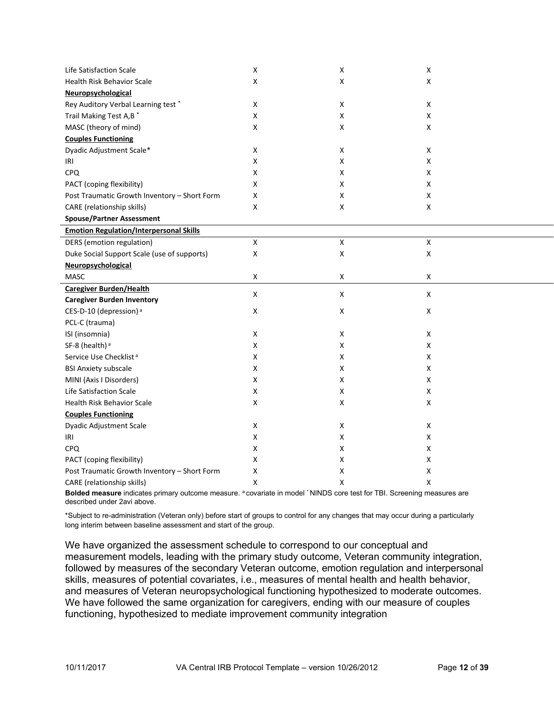| Life Satisfaction Scale                        | $\pmb{\mathsf{X}}$ | X                  | X                  |  |
|------------------------------------------------|--------------------|--------------------|--------------------|--|
| <b>Health Risk Behavior Scale</b>              | X                  | X                  | x                  |  |
| Neuropsychological                             |                    |                    |                    |  |
| Rey Auditory Verbal Learning test*             | X                  | X                  | X                  |  |
| Trail Making Test A,B <sup>*</sup>             | X                  | X                  | X                  |  |
| MASC (theory of mind)                          | X                  | X                  | X                  |  |
| <b>Couples Functioning</b>                     |                    |                    |                    |  |
| Dyadic Adjustment Scale*                       | X                  | X                  | X                  |  |
| iri                                            | X                  | X                  | X                  |  |
| CPQ                                            | X                  | X                  | x                  |  |
| PACT (coping flexibility)                      | x                  | X                  | x                  |  |
| Post Traumatic Growth Inventory - Short Form   | x                  | X                  | X                  |  |
| CARE (relationship skills)                     | x                  | X                  | X                  |  |
| <b>Spouse/Partner Assessment</b>               |                    |                    |                    |  |
| <b>Emotion Regulation/Interpersonal Skills</b> |                    |                    |                    |  |
| DERS (emotion regulation)                      | X                  | $\mathsf X$        | X                  |  |
| Duke Social Support Scale (use of supports)    | X                  | $\pmb{\mathsf{X}}$ | $\pmb{\mathsf{X}}$ |  |
| Neuropsychological                             |                    |                    |                    |  |
| <b>MASC</b>                                    | X                  | X                  | X                  |  |
| <b>Caregiver Burden/Health</b>                 | X                  | X                  | X                  |  |
| <b>Caregiver Burden Inventory</b>              |                    |                    |                    |  |
| CES-D-10 (depression) <sup>a</sup>             | X                  | X                  | X                  |  |
| PCL-C (trauma)                                 |                    |                    |                    |  |
| ISI (insomnia)                                 | X                  | X                  | X                  |  |
| SF-8 (health) <sup>a</sup>                     | X                  | X                  | X                  |  |
| Service Use Checklist <sup>a</sup>             | x                  | Χ                  | Χ                  |  |
| <b>BSI Anxiety subscale</b>                    | X                  | X                  | Χ                  |  |
| MINI (Axis I Disorders)                        | X                  | X                  | Χ                  |  |
| Life Satisfaction Scale                        | X                  | X                  | Χ                  |  |
| <b>Health Risk Behavior Scale</b>              | X                  | X                  | X                  |  |
| <b>Couples Functioning</b>                     |                    |                    |                    |  |
| Dyadic Adjustment Scale                        | X                  | X                  | X                  |  |
| IRI                                            | X                  | X                  | X                  |  |
| <b>CPQ</b>                                     | X                  | X                  | Χ                  |  |
| PACT (coping flexibility)                      | X                  | х                  | Χ                  |  |
| Post Traumatic Growth Inventory - Short Form   | Χ                  | X                  | Χ                  |  |
| CARE (relationship skills)                     | Χ                  | X                  | X                  |  |

Bolded measure indicates primary outcome measure. <sup>a</sup>covariate in model <sup>\*</sup> NINDS core test for TBI. Screening measures are described under 2avi above.

\*Subject to re-administration (Veteran only) before start of groups to control for any changes that may occur during a particularly long interim between baseline assessment and start of the group.

We have organized the assessment schedule to correspond to our conceptual and measurement models, leading with the primary study outcome, Veteran community integration, followed by measures of the secondary Veteran outcome, emotion regulation and interpersonal skills, measures of potential covariates, i.e., measures of mental health and health behavior, and measures of Veteran neuropsychological functioning hypothesized to moderate outcomes. We have followed the same organization for caregivers, ending with our measure of couples functioning, hypothesized to mediate improvement community integration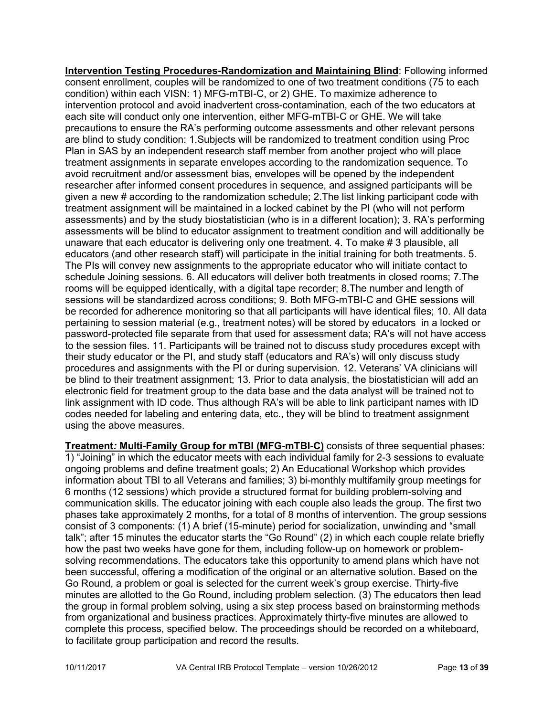**Intervention Testing Procedures-Randomization and Maintaining Blind**: Following informed consent enrollment, couples will be randomized to one of two treatment conditions (75 to each condition) within each VISN: 1) MFG-mTBI-C, or 2) GHE. To maximize adherence to intervention protocol and avoid inadvertent cross-contamination, each of the two educators at each site will conduct only one intervention, either MFG-mTBI-C or GHE. We will take precautions to ensure the RA's performing outcome assessments and other relevant persons are blind to study condition: 1.Subjects will be randomized to treatment condition using Proc Plan in SAS by an independent research staff member from another project who will place treatment assignments in separate envelopes according to the randomization sequence. To avoid recruitment and/or assessment bias, envelopes will be opened by the independent researcher after informed consent procedures in sequence, and assigned participants will be given a new # according to the randomization schedule; 2.The list linking participant code with treatment assignment will be maintained in a locked cabinet by the PI (who will not perform assessments) and by the study biostatistician (who is in a different location); 3. RA's performing assessments will be blind to educator assignment to treatment condition and will additionally be unaware that each educator is delivering only one treatment. 4. To make # 3 plausible, all educators (and other research staff) will participate in the initial training for both treatments. 5. The PIs will convey new assignments to the appropriate educator who will initiate contact to schedule Joining sessions. 6. All educators will deliver both treatments in closed rooms; 7.The rooms will be equipped identically, with a digital tape recorder; 8.The number and length of sessions will be standardized across conditions; 9. Both MFG-mTBI-C and GHE sessions will be recorded for adherence monitoring so that all participants will have identical files; 10. All data pertaining to session material (e.g., treatment notes) will be stored by educators in a locked or password-protected file separate from that used for assessment data; RA's will not have access to the session files. 11. Participants will be trained not to discuss study procedures except with their study educator or the PI, and study staff (educators and RA's) will only discuss study procedures and assignments with the PI or during supervision. 12. Veterans' VA clinicians will be blind to their treatment assignment; 13. Prior to data analysis, the biostatistician will add an electronic field for treatment group to the data base and the data analyst will be trained not to link assignment with ID code. Thus although RA's will be able to link participant names with ID codes needed for labeling and entering data, etc., they will be blind to treatment assignment using the above measures.

**Treatment***:* **Multi-Family Group for mTBI (MFG-mTBI-C)** consists of three sequential phases: 1) "Joining" in which the educator meets with each individual family for 2-3 sessions to evaluate ongoing problems and define treatment goals; 2) An Educational Workshop which provides information about TBI to all Veterans and families; 3) bi-monthly multifamily group meetings for 6 months (12 sessions) which provide a structured format for building problem-solving and communication skills. The educator joining with each couple also leads the group. The first two phases take approximately 2 months, for a total of 8 months of intervention. The group sessions consist of 3 components: (1) A brief (15-minute) period for socialization, unwinding and "small talk"; after 15 minutes the educator starts the "Go Round" (2) in which each couple relate briefly how the past two weeks have gone for them, including follow-up on homework or problemsolving recommendations. The educators take this opportunity to amend plans which have not been successful, offering a modification of the original or an alternative solution. Based on the Go Round, a problem or goal is selected for the current week's group exercise. Thirty-five minutes are allotted to the Go Round, including problem selection. (3) The educators then lead the group in formal problem solving, using a six step process based on brainstorming methods from organizational and business practices. Approximately thirty-five minutes are allowed to complete this process, specified below. The proceedings should be recorded on a whiteboard, to facilitate group participation and record the results.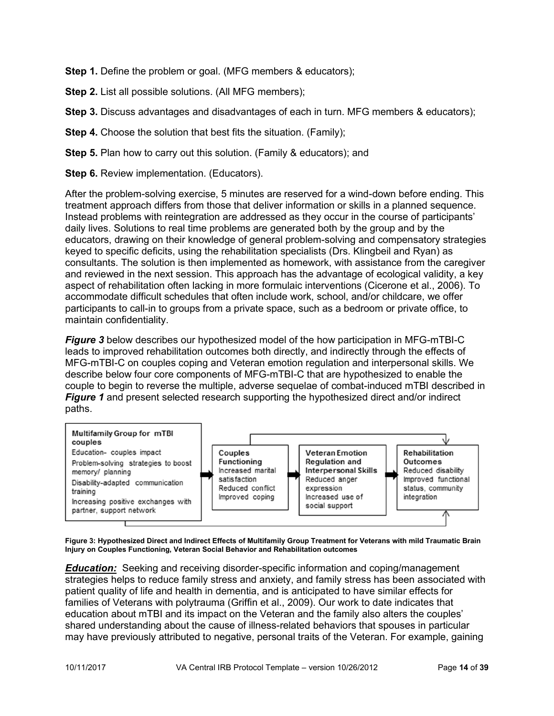**Step 1.** Define the problem or goal. (MFG members & educators);

**Step 2.** List all possible solutions. (All MFG members);

**Step 3.** Discuss advantages and disadvantages of each in turn. MFG members & educators):

**Step 4.** Choose the solution that best fits the situation. (Family);

**Step 5.** Plan how to carry out this solution. (Family & educators); and

**Step 6.** Review implementation. (Educators).

After the problem-solving exercise, 5 minutes are reserved for a wind-down before ending. This treatment approach differs from those that deliver information or skills in a planned sequence. Instead problems with reintegration are addressed as they occur in the course of participants' daily lives. Solutions to real time problems are generated both by the group and by the educators, drawing on their knowledge of general problem-solving and compensatory strategies keyed to specific deficits, using the rehabilitation specialists (Drs. Klingbeil and Ryan) as consultants. The solution is then implemented as homework, with assistance from the caregiver and reviewed in the next session. This approach has the advantage of ecological validity, a key aspect of rehabilitation often lacking in more formulaic interventions (Cicerone et al., 2006). To accommodate difficult schedules that often include work, school, and/or childcare, we offer participants to call-in to groups from a private space, such as a bedroom or private office, to maintain confidentiality.

*Figure 3* below describes our hypothesized model of the how participation in MFG-mTBI-C leads to improved rehabilitation outcomes both directly, and indirectly through the effects of MFG-mTBI-C on couples coping and Veteran emotion regulation and interpersonal skills. We describe below four core components of MFG-mTBI-C that are hypothesized to enable the couple to begin to reverse the multiple, adverse sequelae of combat-induced mTBI described in *Figure 1* and present selected research supporting the hypothesized direct and/or indirect paths.



**Figure 3: Hypothesized Direct and Indirect Effects of Multifamily Group Treatment for Veterans with mild Traumatic Brain Injury on Couples Functioning, Veteran Social Behavior and Rehabilitation outcomes**

*Education:* Seeking and receiving disorder-specific information and coping/management strategies helps to reduce family stress and anxiety, and family stress has been associated with patient quality of life and health in dementia, and is anticipated to have similar effects for families of Veterans with polytrauma (Griffin et al., 2009). Our work to date indicates that education about mTBI and its impact on the Veteran and the family also alters the couples' shared understanding about the cause of illness-related behaviors that spouses in particular may have previously attributed to negative, personal traits of the Veteran. For example, gaining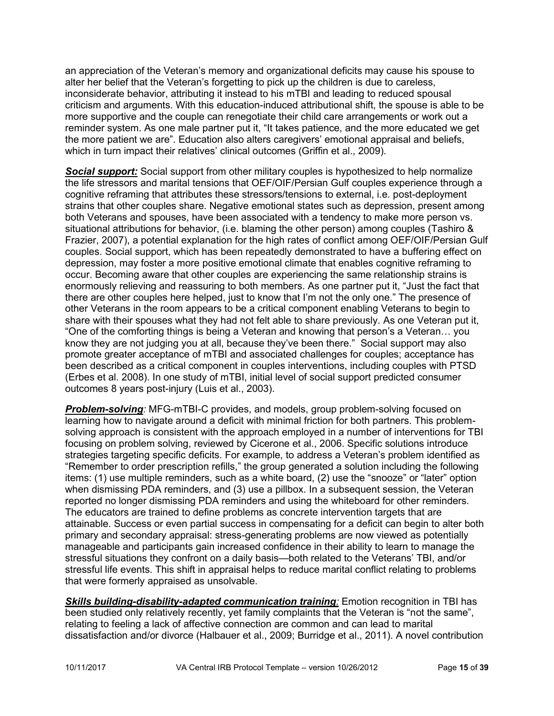an appreciation of the Veteran's memory and organizational deficits may cause his spouse to alter her belief that the Veteran's forgetting to pick up the children is due to careless, inconsiderate behavior, attributing it instead to his mTBI and leading to reduced spousal criticism and arguments. With this education-induced attributional shift, the spouse is able to be more supportive and the couple can renegotiate their child care arrangements or work out a reminder system. As one male partner put it, "It takes patience, and the more educated we get the more patient we are". Education also alters caregivers' emotional appraisal and beliefs, which in turn impact their relatives' clinical outcomes (Griffin et al., 2009).

**Social support:** Social support from other military couples is hypothesized to help normalize the life stressors and marital tensions that OEF/OIF/Persian Gulf couples experience through a cognitive reframing that attributes these stressors/tensions to external, i.e. post-deployment strains that other couples share. Negative emotional states such as depression, present among both Veterans and spouses, have been associated with a tendency to make more person vs. situational attributions for behavior, (i.e. blaming the other person) among couples (Tashiro & Frazier, 2007), a potential explanation for the high rates of conflict among OEF/OIF/Persian Gulf couples. Social support, which has been repeatedly demonstrated to have a buffering effect on depression, may foster a more positive emotional climate that enables cognitive reframing to occur. Becoming aware that other couples are experiencing the same relationship strains is enormously relieving and reassuring to both members. As one partner put it, "Just the fact that there are other couples here helped, just to know that I'm not the only one." The presence of other Veterans in the room appears to be a critical component enabling Veterans to begin to share with their spouses what they had not felt able to share previously. As one Veteran put it, "One of the comforting things is being a Veteran and knowing that person's a Veteran… you know they are not judging you at all, because they've been there." Social support may also promote greater acceptance of mTBI and associated challenges for couples; acceptance has been described as a critical component in couples interventions, including couples with PTSD (Erbes et al. 2008). In one study of mTBI, initial level of social support predicted consumer outcomes 8 years post-injury (Luis et al., 2003).

*Problem-solving:* MFG-mTBI-C provides, and models, group problem-solving focused on learning how to navigate around a deficit with minimal friction for both partners. This problemsolving approach is consistent with the approach employed in a number of interventions for TBI focusing on problem solving, reviewed by Cicerone et al., 2006. Specific solutions introduce strategies targeting specific deficits. For example, to address a Veteran's problem identified as "Remember to order prescription refills," the group generated a solution including the following items: (1) use multiple reminders, such as a white board, (2) use the "snooze" or "later" option when dismissing PDA reminders, and (3) use a pillbox. In a subsequent session, the Veteran reported no longer dismissing PDA reminders and using the whiteboard for other reminders. The educators are trained to define problems as concrete intervention targets that are attainable. Success or even partial success in compensating for a deficit can begin to alter both primary and secondary appraisal: stress-generating problems are now viewed as potentially manageable and participants gain increased confidence in their ability to learn to manage the stressful situations they confront on a daily basis—both related to the Veterans' TBI, and/or stressful life events. This shift in appraisal helps to reduce marital conflict relating to problems that were formerly appraised as unsolvable.

**Skills building-disability-adapted communication training**: Emotion recognition in TBI has been studied only relatively recently, yet family complaints that the Veteran is "not the same", relating to feeling a lack of affective connection are common and can lead to marital dissatisfaction and/or divorce (Halbauer et al., 2009; Burridge et al., 2011). A novel contribution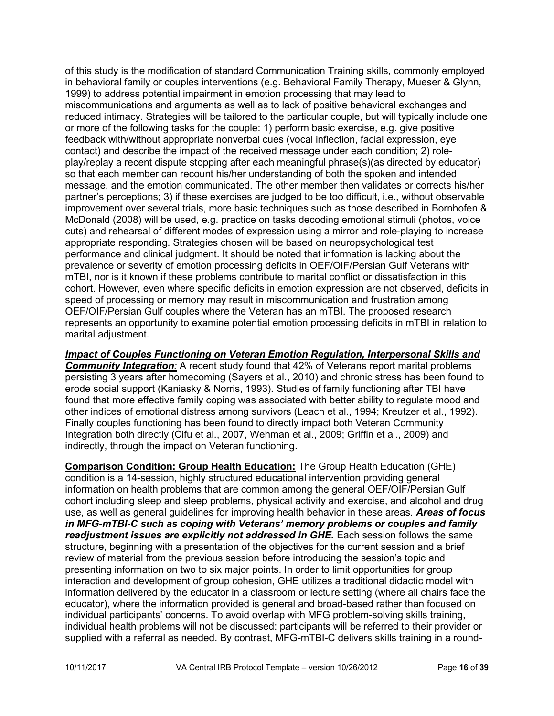of this study is the modification of standard Communication Training skills, commonly employed in behavioral family or couples interventions (e.g. Behavioral Family Therapy, Mueser & Glynn, 1999) to address potential impairment in emotion processing that may lead to miscommunications and arguments as well as to lack of positive behavioral exchanges and reduced intimacy. Strategies will be tailored to the particular couple, but will typically include one or more of the following tasks for the couple: 1) perform basic exercise, e.g. give positive feedback with/without appropriate nonverbal cues (vocal inflection, facial expression, eye contact) and describe the impact of the received message under each condition; 2) roleplay/replay a recent dispute stopping after each meaningful phrase(s)(as directed by educator) so that each member can recount his/her understanding of both the spoken and intended message, and the emotion communicated. The other member then validates or corrects his/her partner's perceptions; 3) if these exercises are judged to be too difficult, i.e., without observable improvement over several trials, more basic techniques such as those described in Bornhofen & McDonald (2008) will be used, e.g. practice on tasks decoding emotional stimuli (photos, voice cuts) and rehearsal of different modes of expression using a mirror and role-playing to increase appropriate responding. Strategies chosen will be based on neuropsychological test performance and clinical judgment. It should be noted that information is lacking about the prevalence or severity of emotion processing deficits in OEF/OIF/Persian Gulf Veterans with mTBI, nor is it known if these problems contribute to marital conflict or dissatisfaction in this cohort. However, even where specific deficits in emotion expression are not observed, deficits in speed of processing or memory may result in miscommunication and frustration among OEF/OIF/Persian Gulf couples where the Veteran has an mTBI. The proposed research represents an opportunity to examine potential emotion processing deficits in mTBI in relation to marital adjustment.

*Impact of Couples Functioning on Veteran Emotion Regulation, Interpersonal Skills and Community Integration:* A recent study found that 42% of Veterans report marital problems persisting 3 years after homecoming (Sayers et al., 2010) and chronic stress has been found to erode social support (Kaniasky & Norris, 1993). Studies of family functioning after TBI have found that more effective family coping was associated with better ability to regulate mood and other indices of emotional distress among survivors (Leach et al., 1994; Kreutzer et al., 1992). Finally couples functioning has been found to directly impact both Veteran Community Integration both directly (Cifu et al., 2007, Wehman et al., 2009; Griffin et al., 2009) and indirectly, through the impact on Veteran functioning.

**Comparison Condition: Group Health Education:** The Group Health Education (GHE) condition is a 14-session, highly structured educational intervention providing general information on health problems that are common among the general OEF/OIF/Persian Gulf cohort including sleep and sleep problems, physical activity and exercise, and alcohol and drug use, as well as general guidelines for improving health behavior in these areas. *Areas of focus in MFG-mTBI-C such as coping with Veterans' memory problems or couples and family readjustment issues are explicitly not addressed in GHE.* Each session follows the same structure, beginning with a presentation of the objectives for the current session and a brief review of material from the previous session before introducing the session's topic and presenting information on two to six major points. In order to limit opportunities for group interaction and development of group cohesion, GHE utilizes a traditional didactic model with information delivered by the educator in a classroom or lecture setting (where all chairs face the educator), where the information provided is general and broad-based rather than focused on individual participants' concerns. To avoid overlap with MFG problem-solving skills training, individual health problems will not be discussed: participants will be referred to their provider or supplied with a referral as needed. By contrast, MFG-mTBI-C delivers skills training in a round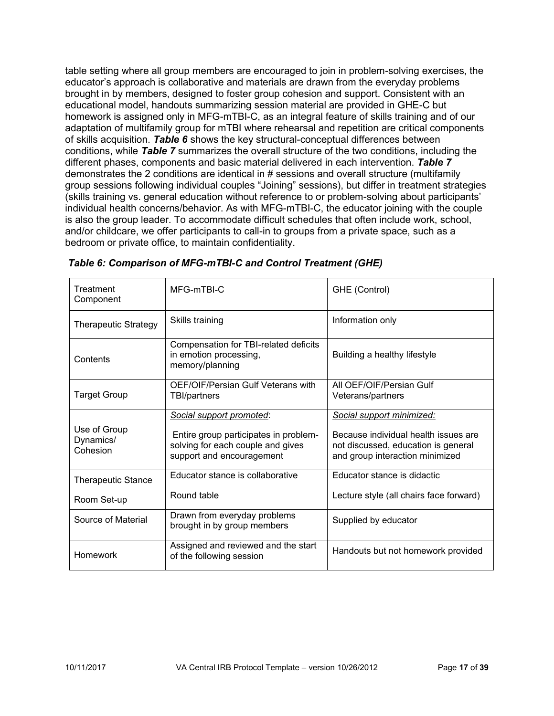table setting where all group members are encouraged to join in problem-solving exercises, the educator's approach is collaborative and materials are drawn from the everyday problems brought in by members, designed to foster group cohesion and support. Consistent with an educational model, handouts summarizing session material are provided in GHE-C but homework is assigned only in MFG-mTBI-C, as an integral feature of skills training and of our adaptation of multifamily group for mTBI where rehearsal and repetition are critical components of skills acquisition. *Table 6* shows the key structural-conceptual differences between conditions, while *Table 7* summarizes the overall structure of the two conditions, including the different phases, components and basic material delivered in each intervention. *Table 7* demonstrates the 2 conditions are identical in # sessions and overall structure (multifamily group sessions following individual couples "Joining" sessions), but differ in treatment strategies (skills training vs. general education without reference to or problem-solving about participants' individual health concerns/behavior. As with MFG-mTBI-C, the educator joining with the couple is also the group leader. To accommodate difficult schedules that often include work, school, and/or childcare, we offer participants to call-in to groups from a private space, such as a bedroom or private office, to maintain confidentiality.

| Treatment<br>Component                | MFG-mTBI-C                                                                                                                          | GHE (Control)                                                                                                                               |
|---------------------------------------|-------------------------------------------------------------------------------------------------------------------------------------|---------------------------------------------------------------------------------------------------------------------------------------------|
| <b>Therapeutic Strategy</b>           | Skills training                                                                                                                     | Information only                                                                                                                            |
| Contents                              | Compensation for TBI-related deficits<br>in emotion processing,<br>memory/planning                                                  | Building a healthy lifestyle                                                                                                                |
| <b>Target Group</b>                   | OEF/OIF/Persian Gulf Veterans with<br>TBI/partners                                                                                  | All OEF/OIF/Persian Gulf<br>Veterans/partners                                                                                               |
| Use of Group<br>Dynamics/<br>Cohesion | Social support promoted:<br>Entire group participates in problem-<br>solving for each couple and gives<br>support and encouragement | Social support minimized:<br>Because individual health issues are<br>not discussed, education is general<br>and group interaction minimized |
| <b>Therapeutic Stance</b>             | Educator stance is collaborative                                                                                                    | Educator stance is didactic                                                                                                                 |
| Room Set-up                           | Round table                                                                                                                         | Lecture style (all chairs face forward)                                                                                                     |
| Source of Material                    | Drawn from everyday problems<br>brought in by group members                                                                         | Supplied by educator                                                                                                                        |
| Homework                              | Assigned and reviewed and the start<br>of the following session                                                                     | Handouts but not homework provided                                                                                                          |

*Table 6: Comparison of MFG-mTBI-C and Control Treatment (GHE)*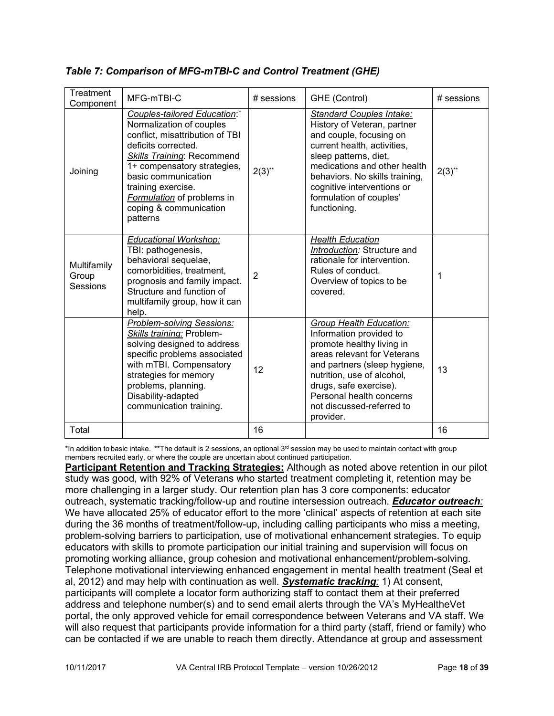| Treatment<br>Component           | MFG-mTBI-C                                                                                                                                                                                                                                                                                                     | $#$ sessions | GHE (Control)                                                                                                                                                                                                                                                                         | $#$ sessions |
|----------------------------------|----------------------------------------------------------------------------------------------------------------------------------------------------------------------------------------------------------------------------------------------------------------------------------------------------------------|--------------|---------------------------------------------------------------------------------------------------------------------------------------------------------------------------------------------------------------------------------------------------------------------------------------|--------------|
| Joining                          | Couples-tailored Education:*<br>Normalization of couples<br>conflict, misattribution of TBI<br>deficits corrected.<br><b>Skills Training: Recommend</b><br>1+ compensatory strategies,<br>basic communication<br>training exercise.<br><b>Formulation</b> of problems in<br>coping & communication<br>patterns | $2(3)$ **    | Standard Couples Intake:<br>History of Veteran, partner<br>and couple, focusing on<br>current health, activities,<br>sleep patterns, diet,<br>medications and other health<br>behaviors. No skills training,<br>cognitive interventions or<br>formulation of couples'<br>functioning. | $2(3)$ **    |
| Multifamily<br>Group<br>Sessions | <b>Educational Workshop:</b><br>TBI: pathogenesis,<br>behavioral sequelae,<br>comorbidities, treatment,<br>prognosis and family impact.<br>Structure and function of<br>multifamily group, how it can<br>help.                                                                                                 | 2            | <b>Health Education</b><br>Introduction: Structure and<br>rationale for intervention.<br>Rules of conduct.<br>Overview of topics to be<br>covered.                                                                                                                                    | 1            |
|                                  | Problem-solving Sessions:<br>Skills training: Problem-<br>solving designed to address<br>specific problems associated<br>with mTBI. Compensatory<br>strategies for memory<br>problems, planning.<br>Disability-adapted<br>communication training.                                                              | 12           | Group Health Education:<br>Information provided to<br>promote healthy living in<br>areas relevant for Veterans<br>and partners (sleep hygiene,<br>nutrition, use of alcohol,<br>drugs, safe exercise).<br>Personal health concerns<br>not discussed-referred to<br>provider.          | 13           |
| Total                            |                                                                                                                                                                                                                                                                                                                | 16           |                                                                                                                                                                                                                                                                                       | 16           |

## *Table 7: Comparison of MFG-mTBI-C and Control Treatment (GHE)*

\*In addition to basic intake. \*\*The default is 2 sessions, an optional 3<sup>rd</sup> session may be used to maintain contact with group members recruited early, or where the couple are uncertain about continued participation.

**Participant Retention and Tracking Strategies:** Although as noted above retention in our pilot study was good, with 92% of Veterans who started treatment completing it, retention may be more challenging in a larger study. Our retention plan has 3 core components: educator outreach, systematic tracking/follow-up and routine intersession outreach. *Educator outreach:*  We have allocated 25% of educator effort to the more 'clinical' aspects of retention at each site during the 36 months of treatment/follow-up, including calling participants who miss a meeting, problem-solving barriers to participation, use of motivational enhancement strategies. To equip educators with skills to promote participation our initial training and supervision will focus on promoting working alliance, group cohesion and motivational enhancement/problem-solving. Telephone motivational interviewing enhanced engagement in mental health treatment (Seal et al, 2012) and may help with continuation as well. *Systematic tracking:* 1) At consent, participants will complete a locator form authorizing staff to contact them at their preferred address and telephone number(s) and to send email alerts through the VA's MyHealtheVet portal, the only approved vehicle for email correspondence between Veterans and VA staff. We will also request that participants provide information for a third party (staff, friend or family) who can be contacted if we are unable to reach them directly. Attendance at group and assessment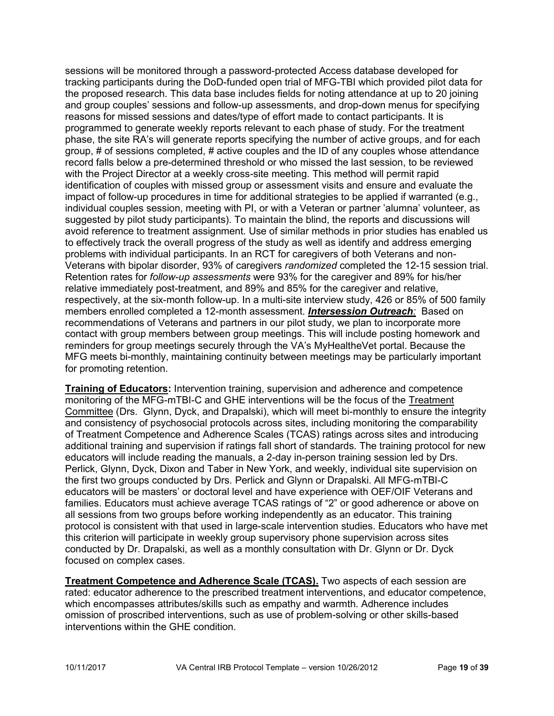sessions will be monitored through a password-protected Access database developed for tracking participants during the DoD-funded open trial of MFG-TBI which provided pilot data for the proposed research. This data base includes fields for noting attendance at up to 20 joining and group couples' sessions and follow-up assessments, and drop-down menus for specifying reasons for missed sessions and dates/type of effort made to contact participants. It is programmed to generate weekly reports relevant to each phase of study. For the treatment phase, the site RA's will generate reports specifying the number of active groups, and for each group, # of sessions completed, # active couples and the ID of any couples whose attendance record falls below a pre-determined threshold or who missed the last session, to be reviewed with the Project Director at a weekly cross-site meeting. This method will permit rapid identification of couples with missed group or assessment visits and ensure and evaluate the impact of follow-up procedures in time for additional strategies to be applied if warranted (e.g., individual couples session, meeting with PI, or with a Veteran or partner 'alumna' volunteer, as suggested by pilot study participants). To maintain the blind, the reports and discussions will avoid reference to treatment assignment. Use of similar methods in prior studies has enabled us to effectively track the overall progress of the study as well as identify and address emerging problems with individual participants. In an RCT for caregivers of both Veterans and non-Veterans with bipolar disorder, 93% of caregivers *randomized* completed the 12-15 session trial. Retention rates for *follow-up assessments* were 93% for the caregiver and 89% for his/her relative immediately post-treatment, and 89% and 85% for the caregiver and relative, respectively, at the six-month follow-up. In a multi-site interview study, 426 or 85% of 500 family members enrolled completed a 12-month assessment. *Intersession Outreach:* Based on recommendations of Veterans and partners in our pilot study, we plan to incorporate more contact with group members between group meetings. This will include posting homework and reminders for group meetings securely through the VA's MyHealtheVet portal. Because the MFG meets bi-monthly, maintaining continuity between meetings may be particularly important for promoting retention.

**Training of Educators:** Intervention training, supervision and adherence and competence monitoring of the MFG-mTBI-C and GHE interventions will be the focus of the Treatment Committee (Drs. Glynn, Dyck, and Drapalski), which will meet bi-monthly to ensure the integrity and consistency of psychosocial protocols across sites, including monitoring the comparability of Treatment Competence and Adherence Scales (TCAS) ratings across sites and introducing additional training and supervision if ratings fall short of standards. The training protocol for new educators will include reading the manuals, a 2-day in-person training session led by Drs. Perlick, Glynn, Dyck, Dixon and Taber in New York, and weekly, individual site supervision on the first two groups conducted by Drs. Perlick and Glynn or Drapalski. All MFG-mTBI-C educators will be masters' or doctoral level and have experience with OEF/OIF Veterans and families. Educators must achieve average TCAS ratings of "2" or good adherence or above on all sessions from two groups before working independently as an educator. This training protocol is consistent with that used in large-scale intervention studies. Educators who have met this criterion will participate in weekly group supervisory phone supervision across sites conducted by Dr. Drapalski, as well as a monthly consultation with Dr. Glynn or Dr. Dyck focused on complex cases.

**Treatment Competence and Adherence Scale (TCAS).** Two aspects of each session are rated: educator adherence to the prescribed treatment interventions, and educator competence, which encompasses attributes/skills such as empathy and warmth. Adherence includes omission of proscribed interventions, such as use of problem-solving or other skills-based interventions within the GHE condition.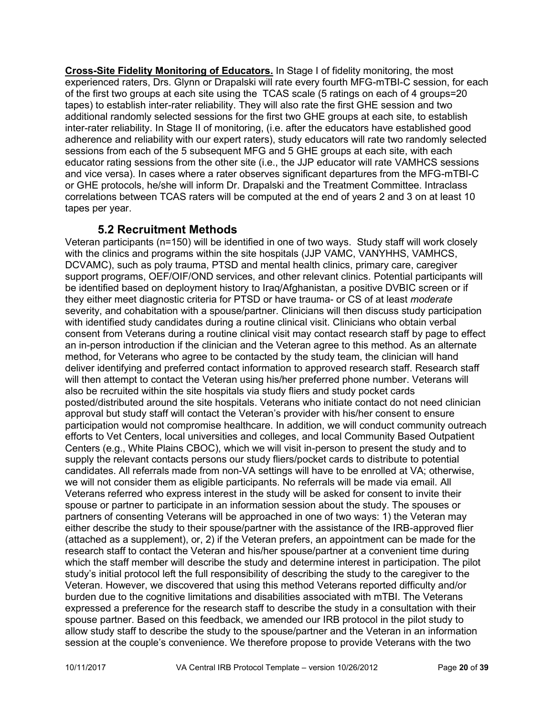**Cross-Site Fidelity Monitoring of Educators.** In Stage I of fidelity monitoring, the most experienced raters, Drs. Glynn or Drapalski will rate every fourth MFG-mTBI-C session, for each of the first two groups at each site using the TCAS scale (5 ratings on each of 4 groups=20 tapes) to establish inter-rater reliability. They will also rate the first GHE session and two additional randomly selected sessions for the first two GHE groups at each site, to establish inter-rater reliability. In Stage II of monitoring, (i.e. after the educators have established good adherence and reliability with our expert raters), study educators will rate two randomly selected sessions from each of the 5 subsequent MFG and 5 GHE groups at each site, with each educator rating sessions from the other site (i.e., the JJP educator will rate VAMHCS sessions and vice versa). In cases where a rater observes significant departures from the MFG-mTBI-C or GHE protocols, he/she will inform Dr. Drapalski and the Treatment Committee. Intraclass correlations between TCAS raters will be computed at the end of years 2 and 3 on at least 10 tapes per year.

## <span id="page-19-0"></span>**5.2 Recruitment Methods**

Veteran participants (n=150) will be identified in one of two ways. Study staff will work closely with the clinics and programs within the site hospitals (JJP VAMC, VANYHHS, VAMHCS, DCVAMC), such as poly trauma, PTSD and mental health clinics, primary care, caregiver support programs, OEF/OIF/OND services, and other relevant clinics. Potential participants will be identified based on deployment history to Iraq/Afghanistan, a positive DVBIC screen or if they either meet diagnostic criteria for PTSD or have trauma- or CS of at least *moderate* severity, and cohabitation with a spouse/partner. Clinicians will then discuss study participation with identified study candidates during a routine clinical visit. Clinicians who obtain verbal consent from Veterans during a routine clinical visit may contact research staff by page to effect an in-person introduction if the clinician and the Veteran agree to this method. As an alternate method, for Veterans who agree to be contacted by the study team, the clinician will hand deliver identifying and preferred contact information to approved research staff. Research staff will then attempt to contact the Veteran using his/her preferred phone number. Veterans will also be recruited within the site hospitals via study fliers and study pocket cards posted/distributed around the site hospitals. Veterans who initiate contact do not need clinician approval but study staff will contact the Veteran's provider with his/her consent to ensure participation would not compromise healthcare. In addition, we will conduct community outreach efforts to Vet Centers, local universities and colleges, and local Community Based Outpatient Centers (e.g., White Plains CBOC), which we will visit in-person to present the study and to supply the relevant contacts persons our study fliers/pocket cards to distribute to potential candidates. All referrals made from non-VA settings will have to be enrolled at VA; otherwise, we will not consider them as eligible participants. No referrals will be made via email. All Veterans referred who express interest in the study will be asked for consent to invite their spouse or partner to participate in an information session about the study. The spouses or partners of consenting Veterans will be approached in one of two ways: 1) the Veteran may either describe the study to their spouse/partner with the assistance of the IRB-approved flier (attached as a supplement), or, 2) if the Veteran prefers, an appointment can be made for the research staff to contact the Veteran and his/her spouse/partner at a convenient time during which the staff member will describe the study and determine interest in participation. The pilot study's initial protocol left the full responsibility of describing the study to the caregiver to the Veteran. However, we discovered that using this method Veterans reported difficulty and/or burden due to the cognitive limitations and disabilities associated with mTBI. The Veterans expressed a preference for the research staff to describe the study in a consultation with their spouse partner. Based on this feedback, we amended our IRB protocol in the pilot study to allow study staff to describe the study to the spouse/partner and the Veteran in an information session at the couple's convenience. We therefore propose to provide Veterans with the two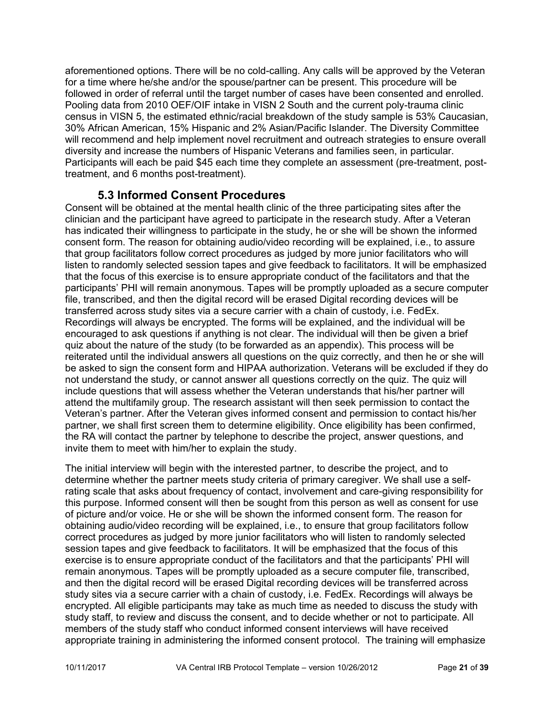aforementioned options. There will be no cold-calling. Any calls will be approved by the Veteran for a time where he/she and/or the spouse/partner can be present. This procedure will be followed in order of referral until the target number of cases have been consented and enrolled. Pooling data from 2010 OEF/OIF intake in VISN 2 South and the current poly-trauma clinic census in VISN 5, the estimated ethnic/racial breakdown of the study sample is 53% Caucasian, 30% African American, 15% Hispanic and 2% Asian/Pacific Islander. The Diversity Committee will recommend and help implement novel recruitment and outreach strategies to ensure overall diversity and increase the numbers of Hispanic Veterans and families seen, in particular. Participants will each be paid \$45 each time they complete an assessment (pre-treatment, posttreatment, and 6 months post-treatment).

## **5.3 Informed Consent Procedures**

<span id="page-20-0"></span>Consent will be obtained at the mental health clinic of the three participating sites after the clinician and the participant have agreed to participate in the research study. After a Veteran has indicated their willingness to participate in the study, he or she will be shown the informed consent form. The reason for obtaining audio/video recording will be explained, i.e., to assure that group facilitators follow correct procedures as judged by more junior facilitators who will listen to randomly selected session tapes and give feedback to facilitators. It will be emphasized that the focus of this exercise is to ensure appropriate conduct of the facilitators and that the participants' PHI will remain anonymous. Tapes will be promptly uploaded as a secure computer file, transcribed, and then the digital record will be erased Digital recording devices will be transferred across study sites via a secure carrier with a chain of custody, i.e. FedEx. Recordings will always be encrypted. The forms will be explained, and the individual will be encouraged to ask questions if anything is not clear. The individual will then be given a brief quiz about the nature of the study (to be forwarded as an appendix). This process will be reiterated until the individual answers all questions on the quiz correctly, and then he or she will be asked to sign the consent form and HIPAA authorization. Veterans will be excluded if they do not understand the study, or cannot answer all questions correctly on the quiz. The quiz will include questions that will assess whether the Veteran understands that his/her partner will attend the multifamily group. The research assistant will then seek permission to contact the Veteran's partner. After the Veteran gives informed consent and permission to contact his/her partner, we shall first screen them to determine eligibility. Once eligibility has been confirmed, the RA will contact the partner by telephone to describe the project, answer questions, and invite them to meet with him/her to explain the study.

The initial interview will begin with the interested partner, to describe the project, and to determine whether the partner meets study criteria of primary caregiver. We shall use a selfrating scale that asks about frequency of contact, involvement and care-giving responsibility for this purpose. Informed consent will then be sought from this person as well as consent for use of picture and/or voice. He or she will be shown the informed consent form. The reason for obtaining audio/video recording will be explained, i.e., to ensure that group facilitators follow correct procedures as judged by more junior facilitators who will listen to randomly selected session tapes and give feedback to facilitators. It will be emphasized that the focus of this exercise is to ensure appropriate conduct of the facilitators and that the participants' PHI will remain anonymous. Tapes will be promptly uploaded as a secure computer file, transcribed, and then the digital record will be erased Digital recording devices will be transferred across study sites via a secure carrier with a chain of custody, i.e. FedEx. Recordings will always be encrypted. All eligible participants may take as much time as needed to discuss the study with study staff, to review and discuss the consent, and to decide whether or not to participate. All members of the study staff who conduct informed consent interviews will have received appropriate training in administering the informed consent protocol. The training will emphasize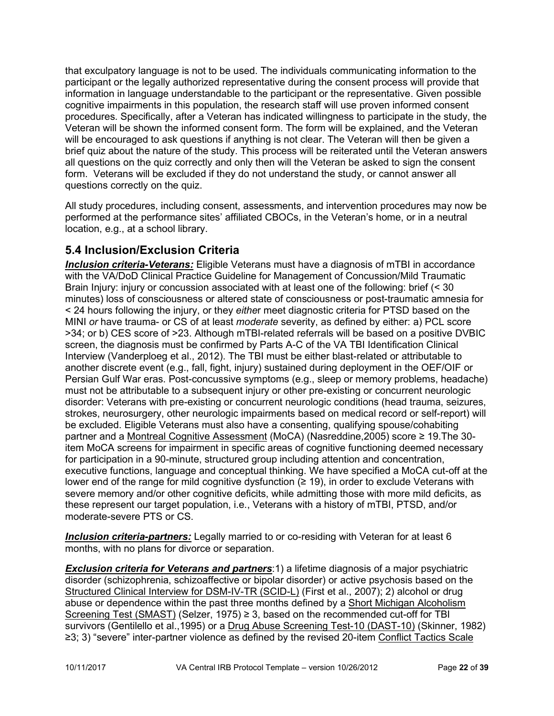that exculpatory language is not to be used. The individuals communicating information to the participant or the legally authorized representative during the consent process will provide that information in language understandable to the participant or the representative. Given possible cognitive impairments in this population, the research staff will use proven informed consent procedures. Specifically, after a Veteran has indicated willingness to participate in the study, the Veteran will be shown the informed consent form. The form will be explained, and the Veteran will be encouraged to ask questions if anything is not clear. The Veteran will then be given a brief quiz about the nature of the study. This process will be reiterated until the Veteran answers all questions on the quiz correctly and only then will the Veteran be asked to sign the consent form. Veterans will be excluded if they do not understand the study, or cannot answer all questions correctly on the quiz.

All study procedures, including consent, assessments, and intervention procedures may now be performed at the performance sites' affiliated CBOCs, in the Veteran's home, or in a neutral location, e.g., at a school library.

## <span id="page-21-0"></span>**5.4 Inclusion/Exclusion Criteria**

*Inclusion criteria-Veterans:* Eligible Veterans must have a diagnosis of mTBI in accordance with the VA/DoD Clinical Practice Guideline for Management of Concussion/Mild Traumatic Brain Injury: injury or concussion associated with at least one of the following: brief (< 30 minutes) loss of consciousness or altered state of consciousness or post-traumatic amnesia for < 24 hours following the injury, or they *eithe*r meet diagnostic criteria for PTSD based on the MINI *or* have trauma- or CS of at least *moderate* severity, as defined by either: a) PCL score >34; or b) CES score of >23. Although mTBI-related referrals will be based on a positive DVBIC screen, the diagnosis must be confirmed by Parts A-C of the VA TBI Identification Clinical Interview (Vanderploeg et al., 2012). The TBI must be either blast-related or attributable to another discrete event (e.g., fall, fight, injury) sustained during deployment in the OEF/OIF or Persian Gulf War eras. Post-concussive symptoms (e.g., sleep or memory problems, headache) must not be attributable to a subsequent injury or other pre-existing or concurrent neurologic disorder: Veterans with pre-existing or concurrent neurologic conditions (head trauma, seizures, strokes, neurosurgery, other neurologic impairments based on medical record or self-report) will be excluded. Eligible Veterans must also have a consenting, qualifying spouse/cohabiting partner and a Montreal Cognitive Assessment (MoCA) (Nasreddine,2005) score ≥ 19.The 30 item MoCA screens for impairment in specific areas of cognitive functioning deemed necessary for participation in a 90-minute, structured group including attention and concentration, executive functions, language and conceptual thinking. We have specified a MoCA cut-off at the lower end of the range for mild cognitive dysfunction ( $\geq$  19), in order to exclude Veterans with severe memory and/or other cognitive deficits, while admitting those with more mild deficits, as these represent our target population, i.e., Veterans with a history of mTBI, PTSD, and/or moderate-severe PTS or CS.

*Inclusion criteria-partners:* Legally married to or co-residing with Veteran for at least 6 months, with no plans for divorce or separation.

*Exclusion criteria for Veterans and partners*:1) a lifetime diagnosis of a major psychiatric disorder (schizophrenia, schizoaffective or bipolar disorder) or active psychosis based on the Structured Clinical Interview for DSM-IV-TR (SCID-L) (First et al., 2007); 2) alcohol or drug abuse or dependence within the past three months defined by a Short Michigan Alcoholism Screening Test (SMAST) (Selzer, 1975)  $\geq$  3, based on the recommended cut-off for TBI survivors (Gentilello et al.,1995) or a Drug Abuse Screening Test-10 (DAST-10) (Skinner, 1982) ≥3; 3) "severe" inter-partner violence as defined by the revised 20-item Conflict Tactics Scale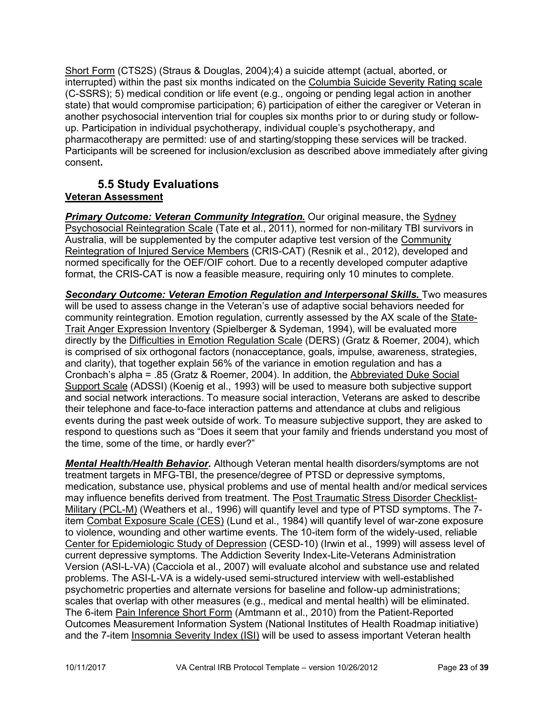Short Form (CTS2S) (Straus & Douglas, 2004);4) a suicide attempt (actual, aborted, or interrupted) within the past six months indicated on the Columbia Suicide Severity Rating scale (C-SSRS); 5) medical condition or life event (e.g., ongoing or pending legal action in another state) that would compromise participation; 6) participation of either the caregiver or Veteran in another psychosocial intervention trial for couples six months prior to or during study or followup. Participation in individual psychotherapy, individual couple's psychotherapy, and pharmacotherapy are permitted: use of and starting/stopping these services will be tracked. Participants will be screened for inclusion/exclusion as described above immediately after giving consent**.**

## <span id="page-22-0"></span>**5.5 Study Evaluations Veteran Assessment**

*Primary Outcome: Veteran Community Integration.* Our original measure, the Sydney Psychosocial Reintegration Scale (Tate et al., 2011), normed for non-military TBI survivors in Australia, will be supplemented by the computer adaptive test version of the Community Reintegration of Injured Service Members (CRIS-CAT) (Resnik et al., 2012), developed and normed specifically for the OEF/OIF cohort. Due to a recently developed computer adaptive format, the CRIS-CAT is now a feasible measure, requiring only 10 minutes to complete.

*Secondary Outcome: Veteran Emotion Regulation and Interpersonal Skills.* Two measures will be used to assess change in the Veteran's use of adaptive social behaviors needed for community reintegration. Emotion regulation, currently assessed by the AX scale of the State-Trait Anger Expression Inventory (Spielberger & Sydeman, 1994), will be evaluated more directly by the Difficulties in Emotion Regulation Scale (DERS) (Gratz & Roemer, 2004), which is comprised of six orthogonal factors (nonacceptance, goals, impulse, awareness, strategies, and clarity), that together explain 56% of the variance in emotion regulation and has a Cronbach's alpha = .85 (Gratz & Roemer, 2004). In addition, the Abbreviated Duke Social Support Scale (ADSSI) (Koenig et al., 1993) will be used to measure both subjective support and social network interactions. To measure social interaction, Veterans are asked to describe their telephone and face-to-face interaction patterns and attendance at clubs and religious events during the past week outside of work. To measure subjective support, they are asked to respond to questions such as "Does it seem that your family and friends understand you most of the time, some of the time, or hardly ever?"

*Mental Health/Health Behavior.* Although Veteran mental health disorders/symptoms are not treatment targets in MFG-TBI, the presence/degree of PTSD or depressive symptoms, medication, substance use, physical problems and use of mental health and/or medical services may influence benefits derived from treatment. The Post Traumatic Stress Disorder Checklist-Military (PCL-M) (Weathers et al., 1996) will quantify level and type of PTSD symptoms. The 7 item Combat Exposure Scale (CES) (Lund et al., 1984) will quantify level of war-zone exposure to violence, wounding and other wartime events. The 10-item form of the widely-used, reliable Center for Epidemiologic Study of Depression (CESD-10) (Irwin et al., 1999) will assess level of current depressive symptoms. The Addiction Severity Index-Lite-Veterans Administration Version (ASI-L-VA) (Cacciola et al., 2007) will evaluate alcohol and substance use and related problems. The ASI-L-VA is a widely-used semi-structured interview with well-established psychometric properties and alternate versions for baseline and follow-up administrations; scales that overlap with other measures (e.g., medical and mental health) will be eliminated. The 6-item Pain Inference Short Form (Amtmann et al., 2010) from the Patient-Reported Outcomes Measurement Information System (National Institutes of Health Roadmap initiative) and the 7-item Insomnia Severity Index (ISI) will be used to assess important Veteran health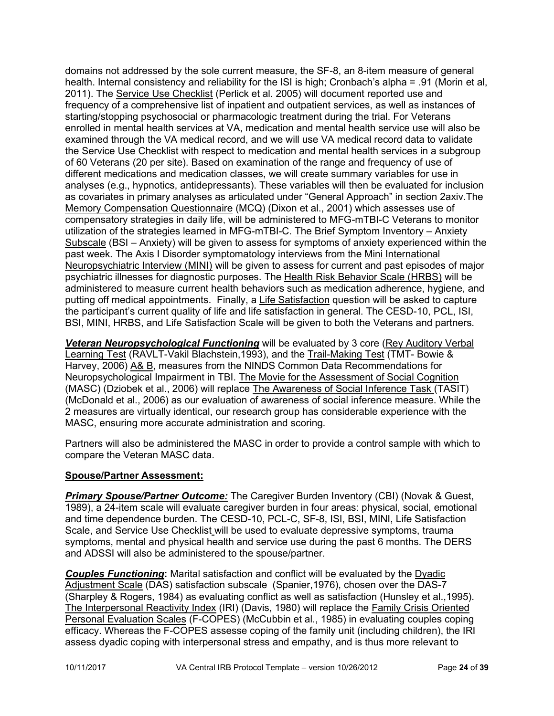domains not addressed by the sole current measure, the SF-8, an 8-item measure of general health. Internal consistency and reliability for the ISI is high; Cronbach's alpha = .91 (Morin et al, 2011). The Service Use Checklist (Perlick et al. 2005) will document reported use and frequency of a comprehensive list of inpatient and outpatient services, as well as instances of starting/stopping psychosocial or pharmacologic treatment during the trial. For Veterans enrolled in mental health services at VA, medication and mental health service use will also be examined through the VA medical record, and we will use VA medical record data to validate the Service Use Checklist with respect to medication and mental health services in a subgroup of 60 Veterans (20 per site). Based on examination of the range and frequency of use of different medications and medication classes, we will create summary variables for use in analyses (e.g., hypnotics, antidepressants). These variables will then be evaluated for inclusion as covariates in primary analyses as articulated under "General Approach" in section 2axiv.The Memory Compensation Questionnaire (MCQ) (Dixon et al., 2001) which assesses use of compensatory strategies in daily life, will be administered to MFG-mTBI-C Veterans to monitor utilization of the strategies learned in MFG-mTBI-C. The Brief Symptom Inventory – Anxiety Subscale (BSI – Anxiety) will be given to assess for symptoms of anxiety experienced within the past week. The Axis I Disorder symptomatology interviews from the Mini International Neuropsychiatric Interview (MINI) will be given to assess for current and past episodes of major psychiatric illnesses for diagnostic purposes. The Health Risk Behavior Scale (HRBS) will be administered to measure current health behaviors such as medication adherence, hygiene, and putting off medical appointments. Finally, a Life Satisfaction question will be asked to capture the participant's current quality of life and life satisfaction in general. The CESD-10, PCL, ISI, BSI, MINI, HRBS, and Life Satisfaction Scale will be given to both the Veterans and partners.

*Veteran Neuropsychological Functioning* will be evaluated by 3 core (Rey Auditory Verbal Learning Test (RAVLT-Vakil Blachstein,1993), and the Trail-Making Test (TMT- Bowie & Harvey, 2006) A& B, measures from the NINDS Common Data Recommendations for Neuropsychological Impairment in TBI. The Movie for the Assessment of Social Cognition (MASC) (Dziobek et al., 2006) will replace The Awareness of Social Inference Task (TASIT) (McDonald et al., 2006) as our evaluation of awareness of social inference measure. While the 2 measures are virtually identical, our research group has considerable experience with the MASC, ensuring more accurate administration and scoring.

Partners will also be administered the MASC in order to provide a control sample with which to compare the Veteran MASC data.

### **Spouse/Partner Assessment:**

*Primary Spouse/Partner Outcome:* The Caregiver Burden Inventory (CBI) (Novak & Guest, 1989), a 24-item scale will evaluate caregiver burden in four areas: physical, social, emotional and time dependence burden. The CESD-10, PCL-C, SF-8, ISI, BSI, MINI, Life Satisfaction Scale, and Service Use Checklist will be used to evaluate depressive symptoms, trauma symptoms, mental and physical health and service use during the past 6 months. The DERS and ADSSI will also be administered to the spouse/partner.

*Couples Functioning***:** Marital satisfaction and conflict will be evaluated by the Dyadic Adjustment Scale (DAS) satisfaction subscale (Spanier,1976), chosen over the DAS-7 (Sharpley & Rogers, 1984) as evaluating conflict as well as satisfaction (Hunsley et al.,1995). The Interpersonal Reactivity Index (IRI) (Davis, 1980) will replace the Family Crisis Oriented Personal Evaluation Scales (F-COPES) (McCubbin et al., 1985) in evaluating couples coping efficacy. Whereas the F-COPES assesse coping of the family unit (including children), the IRI assess dyadic coping with interpersonal stress and empathy, and is thus more relevant to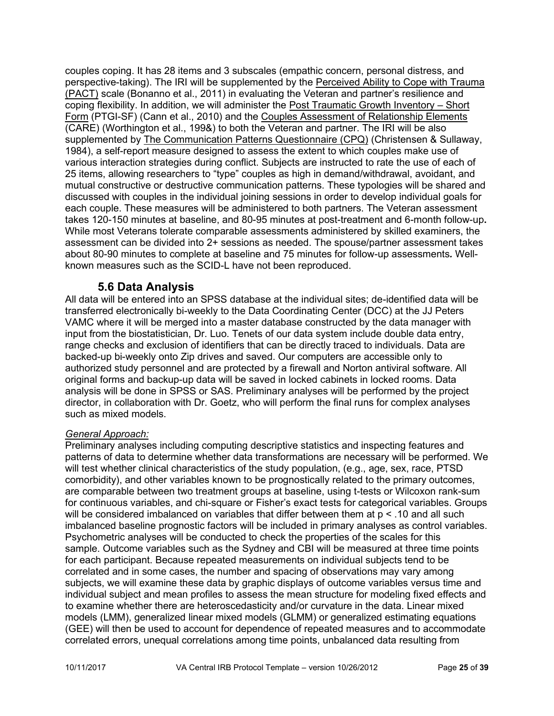couples coping. It has 28 items and 3 subscales (empathic concern, personal distress, and perspective-taking). The IRI will be supplemented by the Perceived Ability to Cope with Trauma (PACT) scale (Bonanno et al., 2011) in evaluating the Veteran and partner's resilience and coping flexibility. In addition, we will administer the Post Traumatic Growth Inventory – Short Form (PTGI-SF) (Cann et al., 2010) and the Couples Assessment of Relationship Elements (CARE) (Worthington et al., 199&) to both the Veteran and partner. The IRI will be also supplemented by The Communication Patterns Questionnaire (CPQ) (Christensen & Sullaway, 1984), a self-report measure designed to assess the extent to which couples make use of various interaction strategies during conflict. Subjects are instructed to rate the use of each of 25 items, allowing researchers to "type" couples as high in demand/withdrawal, avoidant, and mutual constructive or destructive communication patterns. These typologies will be shared and discussed with couples in the individual joining sessions in order to develop individual goals for each couple. These measures will be administered to both partners. The Veteran assessment takes 120-150 minutes at baseline, and 80-95 minutes at post-treatment and 6-month follow-up**.** While most Veterans tolerate comparable assessments administered by skilled examiners, the assessment can be divided into 2+ sessions as needed. The spouse/partner assessment takes about 80-90 minutes to complete at baseline and 75 minutes for follow-up assessments*.* Wellknown measures such as the SCID-L have not been reproduced.

## **5.6 Data Analysis**

<span id="page-24-0"></span>All data will be entered into an SPSS database at the individual sites; de-identified data will be transferred electronically bi-weekly to the Data Coordinating Center (DCC) at the JJ Peters VAMC where it will be merged into a master database constructed by the data manager with input from the biostatistician, Dr. Luo. Tenets of our data system include double data entry, range checks and exclusion of identifiers that can be directly traced to individuals. Data are backed-up bi-weekly onto Zip drives and saved. Our computers are accessible only to authorized study personnel and are protected by a firewall and Norton antiviral software. All original forms and backup-up data will be saved in locked cabinets in locked rooms. Data analysis will be done in SPSS or SAS. Preliminary analyses will be performed by the project director, in collaboration with Dr. Goetz, who will perform the final runs for complex analyses such as mixed models.

### *General Approach:*

Preliminary analyses including computing descriptive statistics and inspecting features and patterns of data to determine whether data transformations are necessary will be performed. We will test whether clinical characteristics of the study population, (e.g., age, sex, race, PTSD comorbidity), and other variables known to be prognostically related to the primary outcomes, are comparable between two treatment groups at baseline, using t-tests or Wilcoxon rank-sum for continuous variables, and chi-square or Fisher's exact tests for categorical variables. Groups will be considered imbalanced on variables that differ between them at  $p < 0.10$  and all such imbalanced baseline prognostic factors will be included in primary analyses as control variables. Psychometric analyses will be conducted to check the properties of the scales for this sample. Outcome variables such as the Sydney and CBI will be measured at three time points for each participant. Because repeated measurements on individual subjects tend to be correlated and in some cases, the number and spacing of observations may vary among subjects, we will examine these data by graphic displays of outcome variables versus time and individual subject and mean profiles to assess the mean structure for modeling fixed effects and to examine whether there are heteroscedasticity and/or curvature in the data. Linear mixed models (LMM), generalized linear mixed models (GLMM) or generalized estimating equations (GEE) will then be used to account for dependence of repeated measures and to accommodate correlated errors, unequal correlations among time points, unbalanced data resulting from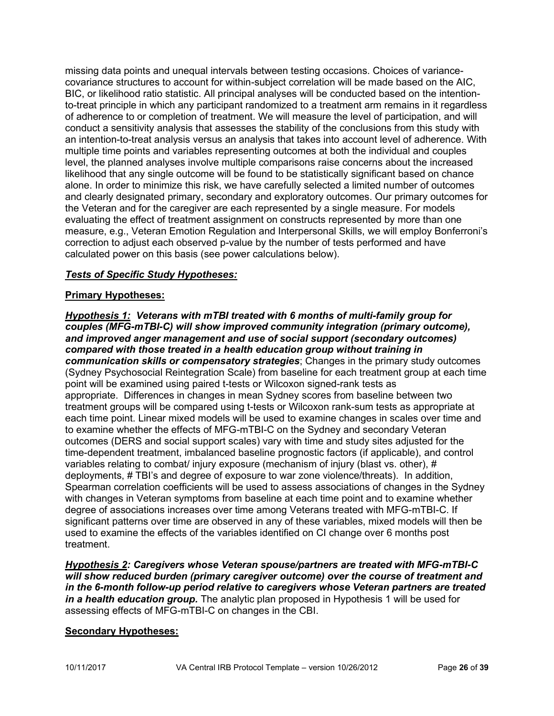missing data points and unequal intervals between testing occasions. Choices of variancecovariance structures to account for within-subject correlation will be made based on the AIC, BIC, or likelihood ratio statistic. All principal analyses will be conducted based on the intentionto-treat principle in which any participant randomized to a treatment arm remains in it regardless of adherence to or completion of treatment. We will measure the level of participation, and will conduct a sensitivity analysis that assesses the stability of the conclusions from this study with an intention-to-treat analysis versus an analysis that takes into account level of adherence. With multiple time points and variables representing outcomes at both the individual and couples level, the planned analyses involve multiple comparisons raise concerns about the increased likelihood that any single outcome will be found to be statistically significant based on chance alone. In order to minimize this risk, we have carefully selected a limited number of outcomes and clearly designated primary, secondary and exploratory outcomes. Our primary outcomes for the Veteran and for the caregiver are each represented by a single measure. For models evaluating the effect of treatment assignment on constructs represented by more than one measure, e.g., Veteran Emotion Regulation and Interpersonal Skills, we will employ Bonferroni's correction to adjust each observed p-value by the number of tests performed and have calculated power on this basis (see power calculations below).

### *Tests of Specific Study Hypotheses:*

### **Primary Hypotheses:**

*Hypothesis 1: Veterans with mTBI treated with 6 months of multi-family group for couples (MFG-mTBI-C) will show improved community integration (primary outcome), and improved anger management and use of social support (secondary outcomes) compared with those treated in a health education group without training in communication skills or compensatory strategies*; Changes in the primary study outcomes (Sydney Psychosocial Reintegration Scale) from baseline for each treatment group at each time point will be examined using paired t-tests or Wilcoxon signed-rank tests as appropriate. Differences in changes in mean Sydney scores from baseline between two treatment groups will be compared using t-tests or Wilcoxon rank-sum tests as appropriate at each time point. Linear mixed models will be used to examine changes in scales over time and to examine whether the effects of MFG-mTBI-C on the Sydney and secondary Veteran outcomes (DERS and social support scales) vary with time and study sites adjusted for the time-dependent treatment, imbalanced baseline prognostic factors (if applicable), and control variables relating to combat/ injury exposure (mechanism of injury (blast vs. other), # deployments, # TBI's and degree of exposure to war zone violence/threats). In addition, Spearman correlation coefficients will be used to assess associations of changes in the Sydney with changes in Veteran symptoms from baseline at each time point and to examine whether degree of associations increases over time among Veterans treated with MFG-mTBI-C. If significant patterns over time are observed in any of these variables, mixed models will then be used to examine the effects of the variables identified on CI change over 6 months post treatment.

*Hypothesis 2: Caregivers whose Veteran spouse/partners are treated with MFG-mTBI-C will show reduced burden (primary caregiver outcome) over the course of treatment and in the 6-month follow-up period relative to caregivers whose Veteran partners are treated in a health education group.* The analytic plan proposed in Hypothesis 1 will be used for assessing effects of MFG-mTBI-C on changes in the CBI.

### **Secondary Hypotheses:**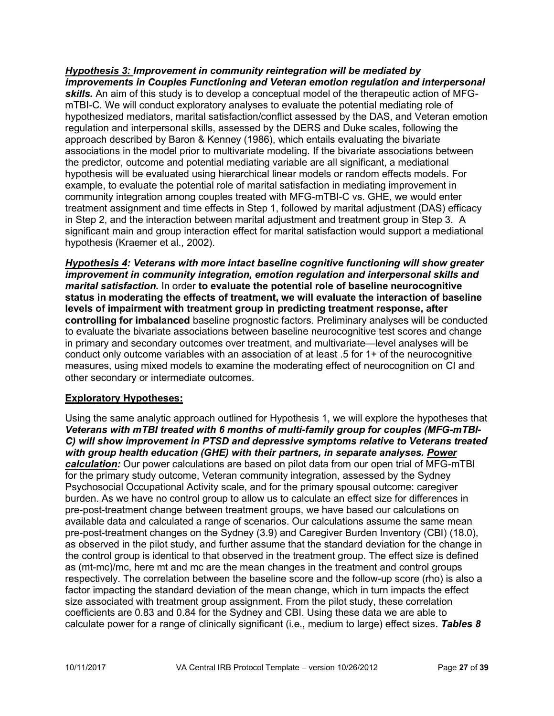*Hypothesis 3: Improvement in community reintegration will be mediated by improvements in Couples Functioning and Veteran emotion regulation and interpersonal skills.* An aim of this study is to develop a conceptual model of the therapeutic action of MFGmTBI-C. We will conduct exploratory analyses to evaluate the potential mediating role of hypothesized mediators, marital satisfaction/conflict assessed by the DAS, and Veteran emotion regulation and interpersonal skills, assessed by the DERS and Duke scales, following the approach described by Baron & Kenney (1986), which entails evaluating the bivariate associations in the model prior to multivariate modeling. If the bivariate associations between the predictor, outcome and potential mediating variable are all significant, a mediational hypothesis will be evaluated using hierarchical linear models or random effects models. For example, to evaluate the potential role of marital satisfaction in mediating improvement in community integration among couples treated with MFG-mTBI-C vs. GHE, we would enter treatment assignment and time effects in Step 1, followed by marital adjustment (DAS) efficacy in Step 2, and the interaction between marital adjustment and treatment group in Step 3. A significant main and group interaction effect for marital satisfaction would support a mediational hypothesis (Kraemer et al., 2002).

*Hypothesis 4: Veterans with more intact baseline cognitive functioning will show greater improvement in community integration, emotion regulation and interpersonal skills and marital satisfaction.* In order **to evaluate the potential role of baseline neurocognitive status in moderating the effects of treatment, we will evaluate the interaction of baseline levels of impairment with treatment group in predicting treatment response, after controlling for imbalanced** baseline prognostic factors. Preliminary analyses will be conducted to evaluate the bivariate associations between baseline neurocognitive test scores and change in primary and secondary outcomes over treatment, and multivariate—level analyses will be conduct only outcome variables with an association of at least .5 for 1+ of the neurocognitive measures, using mixed models to examine the moderating effect of neurocognition on CI and other secondary or intermediate outcomes.

## **Exploratory Hypotheses:**

Using the same analytic approach outlined for Hypothesis 1, we will explore the hypotheses that *Veterans with mTBI treated with 6 months of multi-family group for couples (MFG-mTBI-C) will show improvement in PTSD and depressive symptoms relative to Veterans treated with group health education (GHE) with their partners, in separate analyses. Power calculation:* Our power calculations are based on pilot data from our open trial of MFG-mTBI for the primary study outcome, Veteran community integration, assessed by the Sydney Psychosocial Occupational Activity scale, and for the primary spousal outcome: caregiver burden. As we have no control group to allow us to calculate an effect size for differences in pre-post-treatment change between treatment groups, we have based our calculations on available data and calculated a range of scenarios. Our calculations assume the same mean pre-post-treatment changes on the Sydney (3.9) and Caregiver Burden Inventory (CBI) (18.0), as observed in the pilot study, and further assume that the standard deviation for the change in the control group is identical to that observed in the treatment group. The effect size is defined as (mt-mc)/mc, here mt and mc are the mean changes in the treatment and control groups respectively. The correlation between the baseline score and the follow-up score (rho) is also a factor impacting the standard deviation of the mean change, which in turn impacts the effect size associated with treatment group assignment. From the pilot study, these correlation coefficients are 0.83 and 0.84 for the Sydney and CBI. Using these data we are able to calculate power for a range of clinically significant (i.e., medium to large) effect sizes. *Tables 8*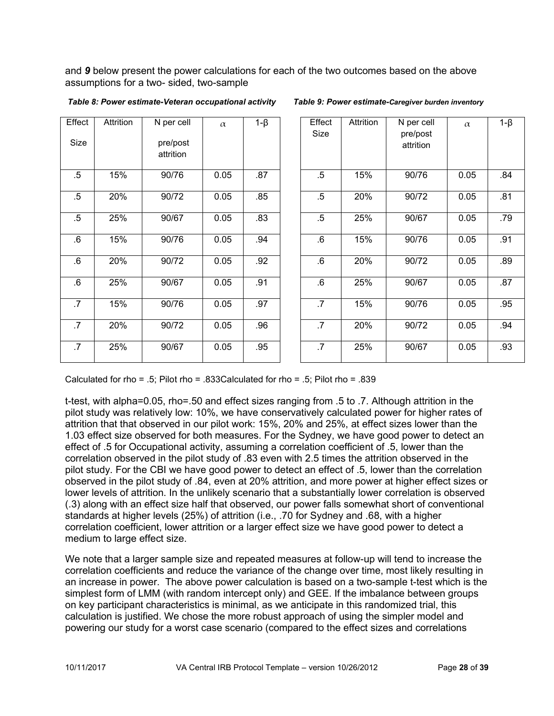and *9* below present the power calculations for each of the two outcomes based on the above assumptions for a two- sided, two-sample

| Effect    | Attrition | N per cell | $\alpha$ | $1-\beta$ | Effect<br>Size |
|-----------|-----------|------------|----------|-----------|----------------|
| Size      |           | pre/post   |          |           |                |
|           |           | attrition  |          |           |                |
| .5        | 15%       | 90/76      | 0.05     | .87       | .5             |
| $.5\,$    | 20%       | 90/72      | 0.05     | .85       | .5             |
| $.5\,$    | 25%       | 90/67      | 0.05     | .83       | $.5\,$         |
| 6.6       | 15%       | 90/76      | 0.05     | .94       | 6.6            |
| $6 \cdot$ | 20%       | 90/72      | 0.05     | .92       | 6.6            |
| .6        | 25%       | 90/67      | 0.05     | .91       | 6.6            |
| .7        | 15%       | 90/76      | 0.05     | .97       | .7             |
| .7        | 20%       | 90/72      | 0.05     | .96       | .7             |
| .7        | 25%       | 90/67      | 0.05     | .95       | .7             |

|  | Table 8: Power estimate-Veteran occupational activity |  |
|--|-------------------------------------------------------|--|
|  |                                                       |  |

*Table 8: Power estimate-Veteran occupational activity**Table 9: Power estimate-Caregiver burden inventory*

| fect<br>ize     | Attrition | N per cell<br>pre/post<br>attrition | $\alpha$ | $1-\beta$ | Effect<br>Size | Attrition | N per cell<br>pre/post<br>attrition | $\alpha$ | $1-\beta$ |
|-----------------|-----------|-------------------------------------|----------|-----------|----------------|-----------|-------------------------------------|----------|-----------|
| $\overline{.5}$ | 15%       | 90/76                               | 0.05     | .87       | $.5\,$         | 15%       | 90/76                               | 0.05     | .84       |
| $\overline{.5}$ | 20%       | 90/72                               | 0.05     | .85       | $.5\,$         | 20%       | 90/72                               | 0.05     | .81       |
| $\overline{5}$  | 25%       | 90/67                               | 0.05     | .83       | $.5\,$         | 25%       | 90/67                               | 0.05     | .79       |
| 6.              | 15%       | 90/76                               | 0.05     | .94       | .6             | 15%       | 90/76                               | 0.05     | .91       |
| $\overline{6}$  | 20%       | 90/72                               | 0.05     | .92       | 6.6            | 20%       | 90/72                               | 0.05     | .89       |
| $\overline{6}$  | 25%       | 90/67                               | 0.05     | .91       | .6             | 25%       | 90/67                               | 0.05     | .87       |
| $\overline{.7}$ | 15%       | 90/76                               | 0.05     | .97       | .7             | 15%       | 90/76                               | 0.05     | .95       |
| $\overline{.7}$ | 20%       | 90/72                               | 0.05     | .96       | .7             | 20%       | 90/72                               | 0.05     | .94       |
| $\overline{.7}$ | 25%       | 90/67                               | 0.05     | .95       | .7             | 25%       | 90/67                               | 0.05     | .93       |

Calculated for rho = .5; Pilot rho = .833Calculated for rho = .5; Pilot rho = .839

t-test, with alpha=0.05, rho=.50 and effect sizes ranging from .5 to .7. Although attrition in the pilot study was relatively low: 10%, we have conservatively calculated power for higher rates of attrition that that observed in our pilot work: 15%, 20% and 25%, at effect sizes lower than the 1.03 effect size observed for both measures. For the Sydney, we have good power to detect an effect of .5 for Occupational activity, assuming a correlation coefficient of .5, lower than the correlation observed in the pilot study of .83 even with 2.5 times the attrition observed in the pilot study. For the CBI we have good power to detect an effect of .5, lower than the correlation observed in the pilot study of .84, even at 20% attrition, and more power at higher effect sizes or lower levels of attrition. In the unlikely scenario that a substantially lower correlation is observed (.3) along with an effect size half that observed, our power falls somewhat short of conventional standards at higher levels (25%) of attrition (i.e., .70 for Sydney and .68, with a higher correlation coefficient, lower attrition or a larger effect size we have good power to detect a medium to large effect size.

We note that a larger sample size and repeated measures at follow-up will tend to increase the correlation coefficients and reduce the variance of the change over time, most likely resulting in an increase in power. The above power calculation is based on a two-sample t-test which is the simplest form of LMM (with random intercept only) and GEE. If the imbalance between groups on key participant characteristics is minimal, as we anticipate in this randomized trial, this calculation is justified. We chose the more robust approach of using the simpler model and powering our study for a worst case scenario (compared to the effect sizes and correlations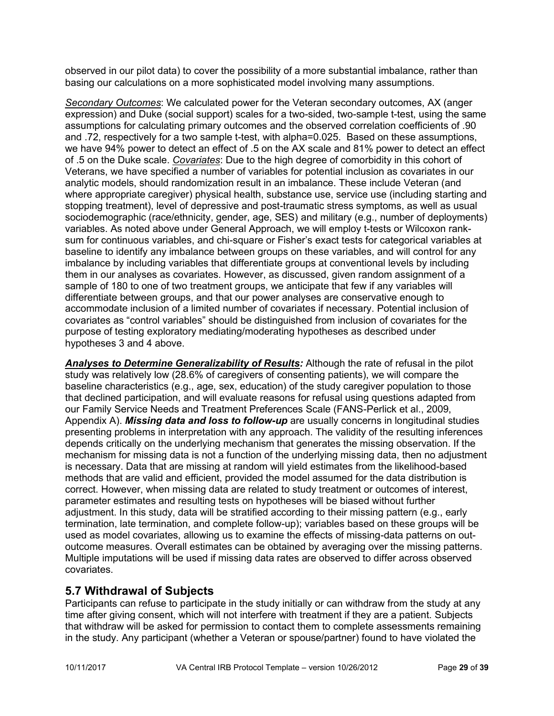observed in our pilot data) to cover the possibility of a more substantial imbalance, rather than basing our calculations on a more sophisticated model involving many assumptions.

*Secondary Outcomes*: We calculated power for the Veteran secondary outcomes, AX (anger expression) and Duke (social support) scales for a two-sided, two-sample t-test, using the same assumptions for calculating primary outcomes and the observed correlation coefficients of .90 and .72, respectively for a two sample t-test, with alpha=0.025. Based on these assumptions, we have 94% power to detect an effect of .5 on the AX scale and 81% power to detect an effect of .5 on the Duke scale. *Covariates*: Due to the high degree of comorbidity in this cohort of Veterans, we have specified a number of variables for potential inclusion as covariates in our analytic models, should randomization result in an imbalance. These include Veteran (and where appropriate caregiver) physical health, substance use, service use (including starting and stopping treatment), level of depressive and post-traumatic stress symptoms, as well as usual sociodemographic (race/ethnicity, gender, age, SES) and military (e.g., number of deployments) variables. As noted above under General Approach, we will employ t-tests or Wilcoxon ranksum for continuous variables, and chi-square or Fisher's exact tests for categorical variables at baseline to identify any imbalance between groups on these variables, and will control for any imbalance by including variables that differentiate groups at conventional levels by including them in our analyses as covariates. However, as discussed, given random assignment of a sample of 180 to one of two treatment groups, we anticipate that few if any variables will differentiate between groups, and that our power analyses are conservative enough to accommodate inclusion of a limited number of covariates if necessary. Potential inclusion of covariates as "control variables" should be distinguished from inclusion of covariates for the purpose of testing exploratory mediating/moderating hypotheses as described under hypotheses 3 and 4 above.

*Analyses to Determine Generalizability of Results:* Although the rate of refusal in the pilot study was relatively low (28.6% of caregivers of consenting patients), we will compare the baseline characteristics (e.g., age, sex, education) of the study caregiver population to those that declined participation, and will evaluate reasons for refusal using questions adapted from our Family Service Needs and Treatment Preferences Scale (FANS-Perlick et al., 2009, Appendix A). *Missing data and loss to follow-up* are usually concerns in longitudinal studies presenting problems in interpretation with any approach. The validity of the resulting inferences depends critically on the underlying mechanism that generates the missing observation. If the mechanism for missing data is not a function of the underlying missing data, then no adjustment is necessary. Data that are missing at random will yield estimates from the likelihood-based methods that are valid and efficient, provided the model assumed for the data distribution is correct. However, when missing data are related to study treatment or outcomes of interest, parameter estimates and resulting tests on hypotheses will be biased without further adjustment. In this study, data will be stratified according to their missing pattern (e.g., early termination, late termination, and complete follow-up); variables based on these groups will be used as model covariates, allowing us to examine the effects of missing-data patterns on outoutcome measures. Overall estimates can be obtained by averaging over the missing patterns. Multiple imputations will be used if missing data rates are observed to differ across observed covariates.

## <span id="page-28-0"></span>**5.7 Withdrawal of Subjects**

Participants can refuse to participate in the study initially or can withdraw from the study at any time after giving consent, which will not interfere with treatment if they are a patient. Subjects that withdraw will be asked for permission to contact them to complete assessments remaining in the study. Any participant (whether a Veteran or spouse/partner) found to have violated the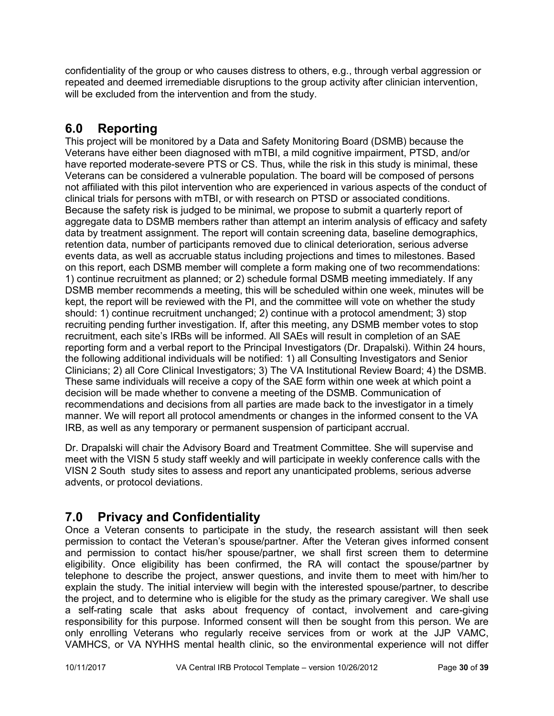confidentiality of the group or who causes distress to others, e.g., through verbal aggression or repeated and deemed irremediable disruptions to the group activity after clinician intervention, will be excluded from the intervention and from the study.

# <span id="page-29-0"></span>**6.0 Reporting**

This project will be monitored by a Data and Safety Monitoring Board (DSMB) because the Veterans have either been diagnosed with mTBI, a mild cognitive impairment, PTSD, and/or have reported moderate-severe PTS or CS. Thus, while the risk in this study is minimal, these Veterans can be considered a vulnerable population. The board will be composed of persons not affiliated with this pilot intervention who are experienced in various aspects of the conduct of clinical trials for persons with mTBI, or with research on PTSD or associated conditions. Because the safety risk is judged to be minimal, we propose to submit a quarterly report of aggregate data to DSMB members rather than attempt an interim analysis of efficacy and safety data by treatment assignment. The report will contain screening data, baseline demographics, retention data, number of participants removed due to clinical deterioration, serious adverse events data, as well as accruable status including projections and times to milestones. Based on this report, each DSMB member will complete a form making one of two recommendations: 1) continue recruitment as planned; or 2) schedule formal DSMB meeting immediately. If any DSMB member recommends a meeting, this will be scheduled within one week, minutes will be kept, the report will be reviewed with the PI, and the committee will vote on whether the study should: 1) continue recruitment unchanged; 2) continue with a protocol amendment; 3) stop recruiting pending further investigation. If, after this meeting, any DSMB member votes to stop recruitment, each site's IRBs will be informed. All SAEs will result in completion of an SAE reporting form and a verbal report to the Principal Investigators (Dr. Drapalski). Within 24 hours, the following additional individuals will be notified: 1) all Consulting Investigators and Senior Clinicians; 2) all Core Clinical Investigators; 3) The VA Institutional Review Board; 4) the DSMB. These same individuals will receive a copy of the SAE form within one week at which point a decision will be made whether to convene a meeting of the DSMB. Communication of recommendations and decisions from all parties are made back to the investigator in a timely manner. We will report all protocol amendments or changes in the informed consent to the VA IRB, as well as any temporary or permanent suspension of participant accrual.

Dr. Drapalski will chair the Advisory Board and Treatment Committee. She will supervise and meet with the VISN 5 study staff weekly and will participate in weekly conference calls with the VISN 2 South study sites to assess and report any unanticipated problems, serious adverse advents, or protocol deviations.

# <span id="page-29-1"></span>**7.0 Privacy and Confidentiality**

Once a Veteran consents to participate in the study, the research assistant will then seek permission to contact the Veteran's spouse/partner. After the Veteran gives informed consent and permission to contact his/her spouse/partner, we shall first screen them to determine eligibility. Once eligibility has been confirmed, the RA will contact the spouse/partner by telephone to describe the project, answer questions, and invite them to meet with him/her to explain the study. The initial interview will begin with the interested spouse/partner, to describe the project, and to determine who is eligible for the study as the primary caregiver. We shall use a self-rating scale that asks about frequency of contact, involvement and care-giving responsibility for this purpose. Informed consent will then be sought from this person. We are only enrolling Veterans who regularly receive services from or work at the JJP VAMC, VAMHCS, or VA NYHHS mental health clinic, so the environmental experience will not differ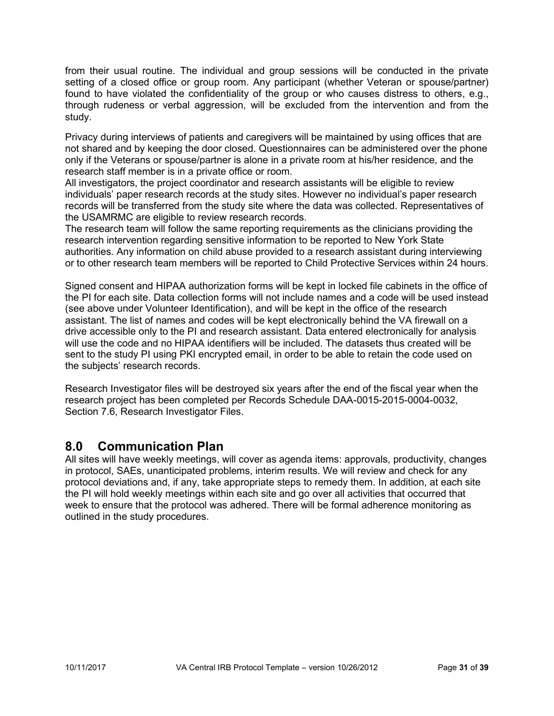from their usual routine. The individual and group sessions will be conducted in the private setting of a closed office or group room. Any participant (whether Veteran or spouse/partner) found to have violated the confidentiality of the group or who causes distress to others, e.g., through rudeness or verbal aggression, will be excluded from the intervention and from the study.

Privacy during interviews of patients and caregivers will be maintained by using offices that are not shared and by keeping the door closed. Questionnaires can be administered over the phone only if the Veterans or spouse/partner is alone in a private room at his/her residence, and the research staff member is in a private office or room.

All investigators, the project coordinator and research assistants will be eligible to review individuals' paper research records at the study sites. However no individual's paper research records will be transferred from the study site where the data was collected. Representatives of the USAMRMC are eligible to review research records.

The research team will follow the same reporting requirements as the clinicians providing the research intervention regarding sensitive information to be reported to New York State authorities. Any information on child abuse provided to a research assistant during interviewing or to other research team members will be reported to Child Protective Services within 24 hours.

Signed consent and HIPAA authorization forms will be kept in locked file cabinets in the office of the PI for each site. Data collection forms will not include names and a code will be used instead (see above under Volunteer Identification), and will be kept in the office of the research assistant. The list of names and codes will be kept electronically behind the VA firewall on a drive accessible only to the PI and research assistant. Data entered electronically for analysis will use the code and no HIPAA identifiers will be included. The datasets thus created will be sent to the study PI using PKI encrypted email, in order to be able to retain the code used on the subjects' research records.

Research Investigator files will be destroyed six years after the end of the fiscal year when the research project has been completed per Records Schedule DAA-0015-2015-0004-0032, Section 7.6, Research Investigator Files.

## <span id="page-30-0"></span>**8.0 Communication Plan**

<span id="page-30-1"></span>All sites will have weekly meetings, will cover as agenda items: approvals, productivity, changes in protocol, SAEs, unanticipated problems, interim results. We will review and check for any protocol deviations and, if any, take appropriate steps to remedy them. In addition, at each site the PI will hold weekly meetings within each site and go over all activities that occurred that week to ensure that the protocol was adhered. There will be formal adherence monitoring as outlined in the study procedures.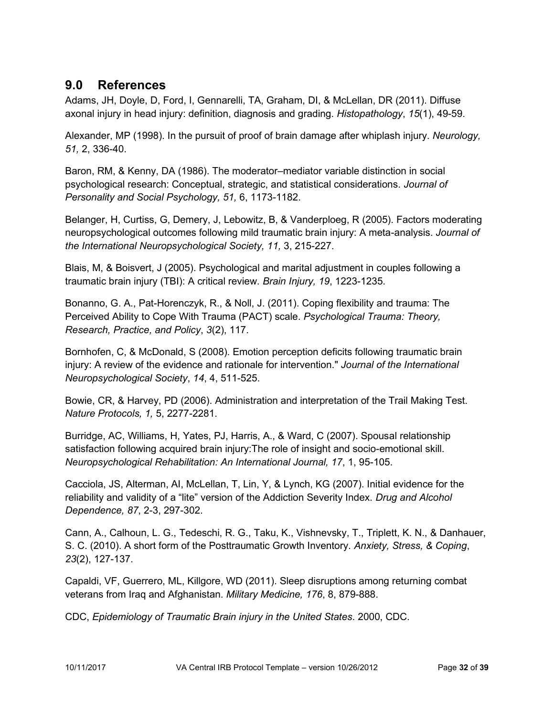## **9.0 References**

Adams, JH, Doyle, D, Ford, I, Gennarelli, TA, Graham, DI, & McLellan, DR (2011). Diffuse axonal injury in head injury: definition, diagnosis and grading. *Histopathology*, *15*(1), 49-59.

Alexander, MP (1998). In the pursuit of proof of brain damage after whiplash injury. *Neurology, 51,* 2, 336-40.

Baron, RM, & Kenny, DA (1986). The moderator–mediator variable distinction in social psychological research: Conceptual, strategic, and statistical considerations. *Journal of Personality and Social Psychology, 51,* 6, 1173-1182.

Belanger, H, Curtiss, G, Demery, J, Lebowitz, B, & Vanderploeg, R (2005). Factors moderating neuropsychological outcomes following mild traumatic brain injury: A meta-analysis. *Journal of the International Neuropsychological Society, 11,* 3, 215-227.

Blais, M, & Boisvert, J (2005). Psychological and marital adjustment in couples following a traumatic brain injury (TBI): A critical review. *Brain Injury, 19*, 1223-1235.

Bonanno, G. A., Pat-Horenczyk, R., & Noll, J. (2011). Coping flexibility and trauma: The Perceived Ability to Cope With Trauma (PACT) scale. *Psychological Trauma: Theory, Research, Practice, and Policy*, *3*(2), 117.

Bornhofen, C, & McDonald, S (2008). Emotion perception deficits following traumatic brain injury: A review of the evidence and rationale for intervention." *Journal of the International Neuropsychological Society*, *14*, 4, 511-525.

Bowie, CR, & Harvey, PD (2006). Administration and interpretation of the Trail Making Test. *Nature Protocols, 1,* 5, 2277-2281.

Burridge, AC, Williams, H, Yates, PJ, Harris, A., & Ward, C (2007). Spousal relationship satisfaction following acquired brain injury:The role of insight and socio-emotional skill. *Neuropsychological Rehabilitation: An International Journal, 17*, 1, 95-105.

Cacciola, JS, Alterman, AI, McLellan, T, Lin, Y, & Lynch, KG (2007). Initial evidence for the reliability and validity of a "lite" version of the Addiction Severity Index. *Drug and Alcohol Dependence, 87*, 2-3, 297-302.

Cann, A., Calhoun, L. G., Tedeschi, R. G., Taku, K., Vishnevsky, T., Triplett, K. N., & Danhauer, S. C. (2010). A short form of the Posttraumatic Growth Inventory. *Anxiety, Stress, & Coping*, *23*(2), 127-137.

Capaldi, VF, Guerrero, ML, Killgore, WD (2011). Sleep disruptions among returning combat veterans from Iraq and Afghanistan. *Military Medicine, 176*, 8, 879-888.

CDC, *Epidemiology of Traumatic Brain injury in the United States*. 2000, CDC.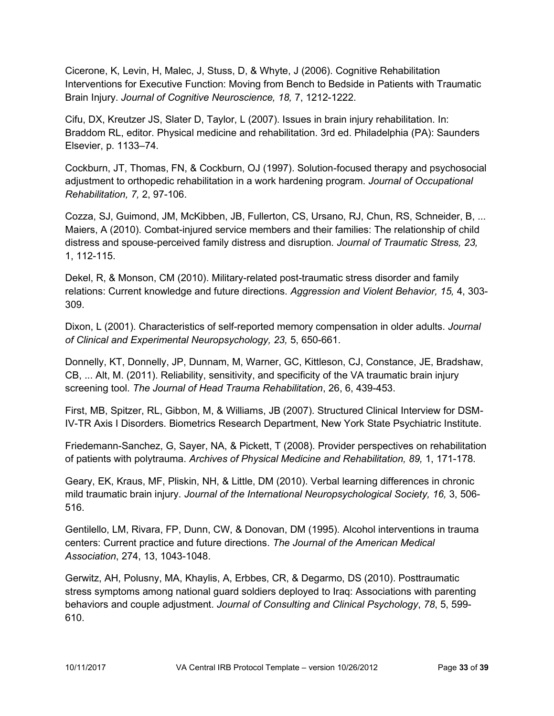Cicerone, K, Levin, H, Malec, J, Stuss, D, & Whyte, J (2006). Cognitive Rehabilitation Interventions for Executive Function: Moving from Bench to Bedside in Patients with Traumatic Brain Injury. *Journal of Cognitive Neuroscience, 18,* 7, 1212-1222.

Cifu, DX, Kreutzer JS, Slater D, Taylor, L (2007). Issues in brain injury rehabilitation. In: Braddom RL, editor. Physical medicine and rehabilitation. 3rd ed. Philadelphia (PA): Saunders Elsevier, p. 1133–74.

Cockburn, JT, Thomas, FN, & Cockburn, OJ (1997). Solution-focused therapy and psychosocial adjustment to orthopedic rehabilitation in a work hardening program. *Journal of Occupational Rehabilitation, 7,* 2, 97-106.

Cozza, SJ, Guimond, JM, McKibben, JB, Fullerton, CS, Ursano, RJ, Chun, RS, Schneider, B, ... Maiers, A (2010). Combat-injured service members and their families: The relationship of child distress and spouse-perceived family distress and disruption. *Journal of Traumatic Stress, 23,*  1, 112-115.

Dekel, R, & Monson, CM (2010). Military-related post-traumatic stress disorder and family relations: Current knowledge and future directions. *Aggression and Violent Behavior, 15,* 4, 303- 309.

Dixon, L (2001). Characteristics of self-reported memory compensation in older adults. *Journal of Clinical and Experimental Neuropsychology, 23,* 5, 650-661.

Donnelly, KT, Donnelly, JP, Dunnam, M, Warner, GC, Kittleson, CJ, Constance, JE, Bradshaw, CB, ... Alt, M. (2011). Reliability, sensitivity, and specificity of the VA traumatic brain injury screening tool. *The Journal of Head Trauma Rehabilitation*, 26, 6, 439-453.

First, MB, Spitzer, RL, Gibbon, M, & Williams, JB (2007). Structured Clinical Interview for DSM-IV-TR Axis I Disorders. Biometrics Research Department, New York State Psychiatric Institute.

Friedemann-Sanchez, G, Sayer, NA, & Pickett, T (2008). Provider perspectives on rehabilitation of patients with polytrauma. *Archives of Physical Medicine and Rehabilitation, 89,* 1, 171-178.

Geary, EK, Kraus, MF, Pliskin, NH, & Little, DM (2010). Verbal learning differences in chronic mild traumatic brain injury. *Journal of the International Neuropsychological Society, 16, 3, 506-*516.

Gentilello, LM, Rivara, FP, Dunn, CW, & Donovan, DM (1995). Alcohol interventions in trauma centers: Current practice and future directions. *The Journal of the American Medical Association*, 274, 13, 1043-1048.

Gerwitz, AH, Polusny, MA, Khaylis, A, Erbbes, CR, & Degarmo, DS (2010). Posttraumatic stress symptoms among national guard soldiers deployed to Iraq: Associations with parenting behaviors and couple adjustment. *Journal of Consulting and Clinical Psychology*, *78*, 5, 599- 610.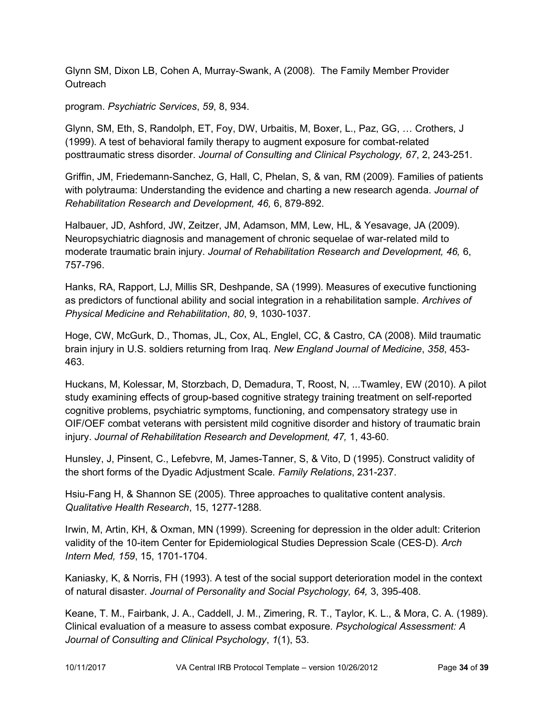Glynn SM, Dixon LB, Cohen A, Murray-Swank, A (2008). The Family Member Provider **Outreach** 

program. *Psychiatric Services*, *59*, 8, 934.

Glynn, SM, Eth, S, Randolph, ET, Foy, DW, Urbaitis, M, Boxer, L., Paz, GG, … Crothers, J (1999). A test of behavioral family therapy to augment exposure for combat-related posttraumatic stress disorder. *Journal of Consulting and Clinical Psychology, 67*, 2, 243-251.

Griffin, JM, Friedemann-Sanchez, G, Hall, C, Phelan, S, & van, RM (2009). Families of patients with polytrauma: Understanding the evidence and charting a new research agenda. *Journal of Rehabilitation Research and Development, 46,* 6, 879-892.

Halbauer, JD, Ashford, JW, Zeitzer, JM, Adamson, MM, Lew, HL, & Yesavage, JA (2009). Neuropsychiatric diagnosis and management of chronic sequelae of war-related mild to moderate traumatic brain injury. *Journal of Rehabilitation Research and Development, 46,* 6, 757-796.

Hanks, RA, Rapport, LJ, Millis SR, Deshpande, SA (1999). Measures of executive functioning as predictors of functional ability and social integration in a rehabilitation sample. *Archives of Physical Medicine and Rehabilitation*, *80*, 9, 1030-1037.

Hoge, CW, McGurk, D., Thomas, JL, Cox, AL, Englel, CC, & Castro, CA (2008). Mild traumatic brain injury in U.S. soldiers returning from Iraq. *New England Journal of Medicine*, *358*, 453- 463.

Huckans, M, Kolessar, M, Storzbach, D, Demadura, T, Roost, N, ...Twamley, EW (2010). A pilot study examining effects of group-based cognitive strategy training treatment on self-reported cognitive problems, psychiatric symptoms, functioning, and compensatory strategy use in OIF/OEF combat veterans with persistent mild cognitive disorder and history of traumatic brain injury. *Journal of Rehabilitation Research and Development, 47,* 1, 43-60.

Hunsley, J, Pinsent, C., Lefebvre, M, James-Tanner, S, & Vito, D (1995). Construct validity of the short forms of the Dyadic Adjustment Scale. *Family Relations*, 231-237.

Hsiu-Fang H, & Shannon SE (2005). Three approaches to qualitative content analysis. *Qualitative Health Research*, 15, 1277-1288.

Irwin, M, Artin, KH, & Oxman, MN (1999). Screening for depression in the older adult: Criterion validity of the 10-item Center for Epidemiological Studies Depression Scale (CES-D). *Arch Intern Med, 159*, 15, 1701-1704.

Kaniasky, K, & Norris, FH (1993). A test of the social support deterioration model in the context of natural disaster. *Journal of Personality and Social Psychology, 64,* 3, 395-408.

Keane, T. M., Fairbank, J. A., Caddell, J. M., Zimering, R. T., Taylor, K. L., & Mora, C. A. (1989). Clinical evaluation of a measure to assess combat exposure. *Psychological Assessment: A Journal of Consulting and Clinical Psychology*, *1*(1), 53.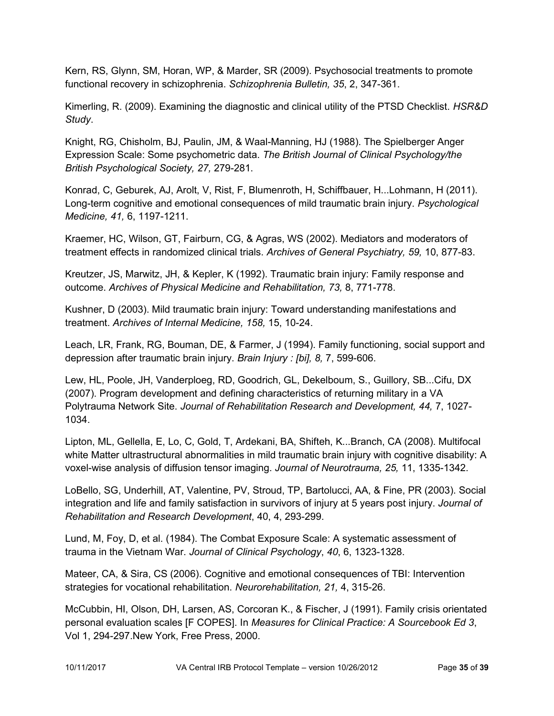Kern, RS, Glynn, SM, Horan, WP, & Marder, SR (2009). Psychosocial treatments to promote functional recovery in schizophrenia. *Schizophrenia Bulletin, 35*, 2, 347-361.

Kimerling, R. (2009). Examining the diagnostic and clinical utility of the PTSD Checklist. *HSR&D Study*.

Knight, RG, Chisholm, BJ, Paulin, JM, & Waal-Manning, HJ (1988). The Spielberger Anger Expression Scale: Some psychometric data. *The British Journal of Clinical Psychology/the British Psychological Society, 27,* 279-281.

Konrad, C, Geburek, AJ, Arolt, V, Rist, F, Blumenroth, H, Schiffbauer, H...Lohmann, H (2011). Long-term cognitive and emotional consequences of mild traumatic brain injury. *Psychological Medicine, 41,* 6, 1197-1211.

Kraemer, HC, Wilson, GT, Fairburn, CG, & Agras, WS (2002). Mediators and moderators of treatment effects in randomized clinical trials. *Archives of General Psychiatry, 59,* 10, 877-83.

Kreutzer, JS, Marwitz, JH, & Kepler, K (1992). Traumatic brain injury: Family response and outcome. *Archives of Physical Medicine and Rehabilitation, 73,* 8, 771-778.

Kushner, D (2003). Mild traumatic brain injury: Toward understanding manifestations and treatment. *Archives of Internal Medicine, 158,* 15, 10-24.

Leach, LR, Frank, RG, Bouman, DE, & Farmer, J (1994). Family functioning, social support and depression after traumatic brain injury. *Brain Injury : [bi], 8,* 7, 599-606.

Lew, HL, Poole, JH, Vanderploeg, RD, Goodrich, GL, Dekelboum, S., Guillory, SB...Cifu, DX (2007). Program development and defining characteristics of returning military in a VA Polytrauma Network Site. *Journal of Rehabilitation Research and Development, 44,* 7, 1027- 1034.

Lipton, ML, Gellella, E, Lo, C, Gold, T, Ardekani, BA, Shifteh, K...Branch, CA (2008). Multifocal white Matter ultrastructural abnormalities in mild traumatic brain injury with cognitive disability: A voxel-wise analysis of diffusion tensor imaging. *Journal of Neurotrauma, 25,* 11, 1335-1342.

LoBello, SG, Underhill, AT, Valentine, PV, Stroud, TP, Bartolucci, AA, & Fine, PR (2003). Social integration and life and family satisfaction in survivors of injury at 5 years post injury. *Journal of Rehabilitation and Research Development*, 40, 4, 293-299.

Lund, M, Foy, D, et al. (1984). The Combat Exposure Scale: A systematic assessment of trauma in the Vietnam War. *Journal of Clinical Psychology*, *40*, 6, 1323-1328.

Mateer, CA, & Sira, CS (2006). Cognitive and emotional consequences of TBI: Intervention strategies for vocational rehabilitation. *Neurorehabilitation, 21,* 4, 315-26.

McCubbin, HI, Olson, DH, Larsen, AS, Corcoran K., & Fischer, J (1991). Family crisis orientated personal evaluation scales [F COPES]. In *Measures for Clinical Practice: A Sourcebook Ed 3*, Vol 1, 294-297.New York, Free Press, 2000.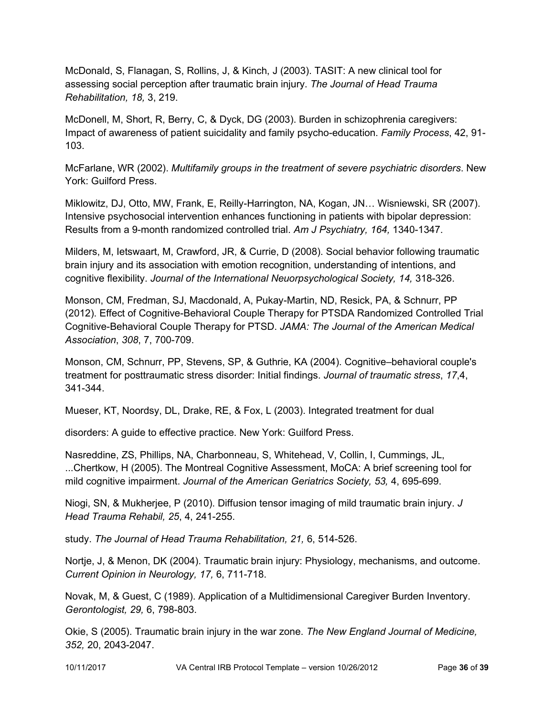McDonald, S, Flanagan, S, Rollins, J, & Kinch, J (2003). TASIT: A new clinical tool for assessing social perception after traumatic brain injury. *The Journal of Head Trauma Rehabilitation, 18,* 3, 219.

McDonell, M, Short, R, Berry, C, & Dyck, DG (2003). Burden in schizophrenia caregivers: Impact of awareness of patient suicidality and family psycho-education. *Family Process*, 42, 91- 103.

McFarlane, WR (2002). *Multifamily groups in the treatment of severe psychiatric disorders*. New York: Guilford Press.

Miklowitz, DJ, Otto, MW, Frank, E, Reilly-Harrington, NA, Kogan, JN… Wisniewski, SR (2007). Intensive psychosocial intervention enhances functioning in patients with bipolar depression: Results from a 9-month randomized controlled trial. *Am J Psychiatry, 164,* 1340-1347.

Milders, M, Ietswaart, M, Crawford, JR, & Currie, D (2008). Social behavior following traumatic brain injury and its association with emotion recognition, understanding of intentions, and cognitive flexibility. *Journal of the International Neuorpsychological Society, 14,* 318-326.

Monson, CM, Fredman, SJ, Macdonald, A, Pukay-Martin, ND, Resick, PA, & Schnurr, PP (2012). Effect of Cognitive-Behavioral Couple Therapy for PTSDA Randomized Controlled Trial Cognitive-Behavioral Couple Therapy for PTSD. *JAMA: The Journal of the American Medical Association*, *308*, 7, 700-709.

Monson, CM, Schnurr, PP, Stevens, SP, & Guthrie, KA (2004). Cognitive–behavioral couple's treatment for posttraumatic stress disorder: Initial findings. *Journal of traumatic stress*, *17*,4, 341-344.

Mueser, KT, Noordsy, DL, Drake, RE, & Fox, L (2003). Integrated treatment for dual

disorders: A guide to effective practice. New York: Guilford Press.

Nasreddine, ZS, Phillips, NA, Charbonneau, S, Whitehead, V, Collin, I, Cummings, JL, ...Chertkow, H (2005). The Montreal Cognitive Assessment, MoCA: A brief screening tool for mild cognitive impairment. *Journal of the American Geriatrics Society, 53,* 4, 695-699.

Niogi, SN, & Mukherjee, P (2010). Diffusion tensor imaging of mild traumatic brain injury. *J Head Trauma Rehabil, 25*, 4, 241-255.

study. *The Journal of Head Trauma Rehabilitation, 21,* 6, 514-526.

Nortje, J, & Menon, DK (2004). Traumatic brain injury: Physiology, mechanisms, and outcome. *Current Opinion in Neurology, 17,* 6, 711-718.

Novak, M, & Guest, C (1989). Application of a Multidimensional Caregiver Burden Inventory. *Gerontologist, 29,* 6, 798-803.

Okie, S (2005). Traumatic brain injury in the war zone. *The New England Journal of Medicine, 352,* 20, 2043-2047.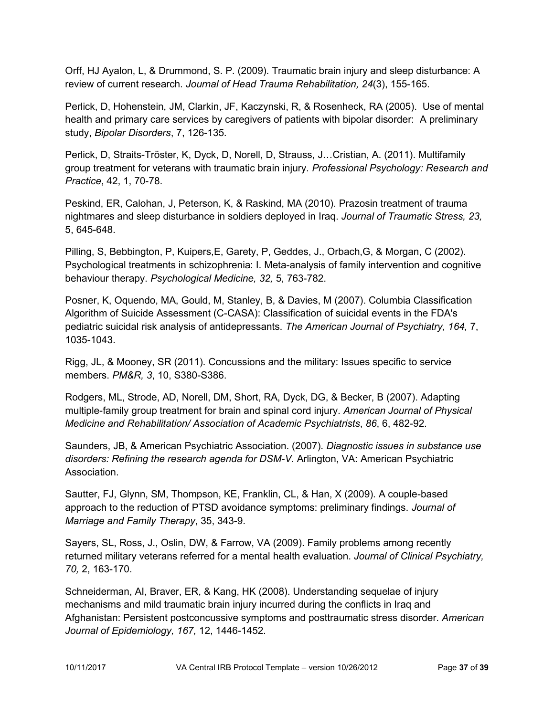Orff, HJ Ayalon, L, & Drummond, S. P. (2009). Traumatic brain injury and sleep disturbance: A review of current research. *Journal of Head Trauma Rehabilitation, 24*(3), 155-165.

Perlick, D, Hohenstein, JM, Clarkin, JF, Kaczynski, R, & Rosenheck, RA (2005). Use of mental health and primary care services by caregivers of patients with bipolar disorder: A preliminary study, *Bipolar Disorders*, 7, 126-135.

Perlick, D, Straits-Tröster, K, Dyck, D, Norell, D, Strauss, J…Cristian, A. (2011). Multifamily group treatment for veterans with traumatic brain injury. *Professional Psychology: Research and Practice*, 42, 1, 70-78.

Peskind, ER, Calohan, J, Peterson, K, & Raskind, MA (2010). Prazosin treatment of trauma nightmares and sleep disturbance in soldiers deployed in Iraq. *Journal of Traumatic Stress, 23,*  5, 645-648.

Pilling, S, Bebbington, P, Kuipers,E, Garety, P, Geddes, J., Orbach,G, & Morgan, C (2002). Psychological treatments in schizophrenia: I. Meta-analysis of family intervention and cognitive behaviour therapy. *Psychological Medicine, 32,* 5, 763-782.

Posner, K, Oquendo, MA, Gould, M, Stanley, B, & Davies, M (2007). Columbia Classification Algorithm of Suicide Assessment (C-CASA): Classification of suicidal events in the FDA's pediatric suicidal risk analysis of antidepressants. *The American Journal of Psychiatry, 164,* 7, 1035-1043.

Rigg, JL, & Mooney, SR (2011). Concussions and the military: Issues specific to service members. *PM&R, 3*, 10, S380-S386.

Rodgers, ML, Strode, AD, Norell, DM, Short, RA, Dyck, DG, & Becker, B (2007). Adapting multiple-family group treatment for brain and spinal cord injury. *American Journal of Physical Medicine and Rehabilitation/ Association of Academic Psychiatrists*, *86*, 6, 482-92.

Saunders, JB, & American Psychiatric Association. (2007). *Diagnostic issues in substance use disorders: Refining the research agenda for DSM-V*. Arlington, VA: American Psychiatric Association.

Sautter, FJ, Glynn, SM, Thompson, KE, Franklin, CL, & Han, X (2009). A couple-based approach to the reduction of PTSD avoidance symptoms: preliminary findings. *Journal of Marriage and Family Therapy*, 35, 343-9.

Sayers, SL, Ross, J., Oslin, DW, & Farrow, VA (2009). Family problems among recently returned military veterans referred for a mental health evaluation. *Journal of Clinical Psychiatry, 70,* 2, 163-170.

Schneiderman, AI, Braver, ER, & Kang, HK (2008). Understanding sequelae of injury mechanisms and mild traumatic brain injury incurred during the conflicts in Iraq and Afghanistan: Persistent postconcussive symptoms and posttraumatic stress disorder. *American Journal of Epidemiology, 167,* 12, 1446-1452.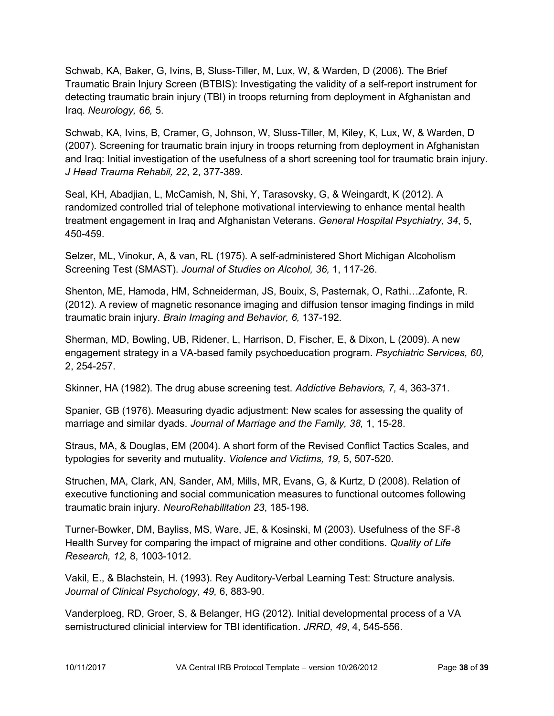Schwab, KA, Baker, G, Ivins, B, Sluss-Tiller, M, Lux, W, & Warden, D (2006). The Brief Traumatic Brain Injury Screen (BTBIS): Investigating the validity of a self-report instrument for detecting traumatic brain injury (TBI) in troops returning from deployment in Afghanistan and Iraq. *Neurology, 66,* 5.

Schwab, KA, Ivins, B, Cramer, G, Johnson, W, Sluss-Tiller, M, Kiley, K, Lux, W, & Warden, D (2007). Screening for traumatic brain injury in troops returning from deployment in Afghanistan and Iraq: Initial investigation of the usefulness of a short screening tool for traumatic brain injury. *J Head Trauma Rehabil, 22*, 2, 377-389.

Seal, KH, Abadjian, L, McCamish, N, Shi, Y, Tarasovsky, G, & Weingardt, K (2012). A randomized controlled trial of telephone motivational interviewing to enhance mental health treatment engagement in Iraq and Afghanistan Veterans. *General Hospital Psychiatry, 34*, 5, 450-459.

Selzer, ML, Vinokur, A, & van, RL (1975). A self-administered Short Michigan Alcoholism Screening Test (SMAST). *Journal of Studies on Alcohol, 36,* 1, 117-26.

Shenton, ME, Hamoda, HM, Schneiderman, JS, Bouix, S, Pasternak, O, Rathi…Zafonte, R. (2012). A review of magnetic resonance imaging and diffusion tensor imaging findings in mild traumatic brain injury. *Brain Imaging and Behavior, 6,* 137-192.

Sherman, MD, Bowling, UB, Ridener, L, Harrison, D, Fischer, E, & Dixon, L (2009). A new engagement strategy in a VA-based family psychoeducation program. *Psychiatric Services, 60,*  2, 254-257.

Skinner, HA (1982). The drug abuse screening test. *Addictive Behaviors, 7,* 4, 363-371.

Spanier, GB (1976). Measuring dyadic adjustment: New scales for assessing the quality of marriage and similar dyads. *Journal of Marriage and the Family, 38,* 1, 15-28.

Straus, MA, & Douglas, EM (2004). A short form of the Revised Conflict Tactics Scales, and typologies for severity and mutuality. *Violence and Victims, 19,* 5, 507-520.

Struchen, MA, Clark, AN, Sander, AM, Mills, MR, Evans, G, & Kurtz, D (2008). Relation of executive functioning and social communication measures to functional outcomes following traumatic brain injury. *NeuroRehabilitation 23*, 185-198.

Turner-Bowker, DM, Bayliss, MS, Ware, JE, & Kosinski, M (2003). Usefulness of the SF-8 Health Survey for comparing the impact of migraine and other conditions. *Quality of Life Research, 12,* 8, 1003-1012.

Vakil, E., & Blachstein, H. (1993). Rey Auditory-Verbal Learning Test: Structure analysis. *Journal of Clinical Psychology, 49,* 6, 883-90.

Vanderploeg, RD, Groer, S, & Belanger, HG (2012). Initial developmental process of a VA semistructured clinicial interview for TBI identification. *JRRD, 49*, 4, 545-556.